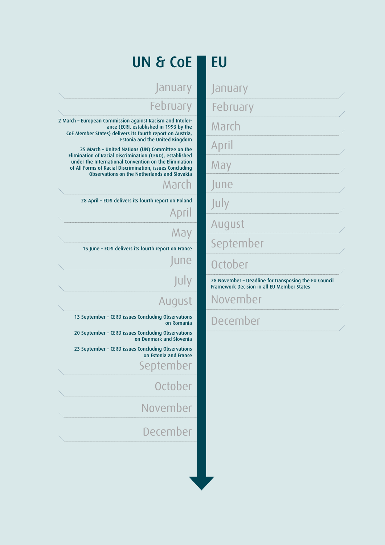## UN & CoE EU

## February February

2 March – European Commission against Racism and Intolerance (ECRI, established in 1993 by the CoE Member States) delivers its fourth report on Austria, Estonia and the United Kingdom

25 March – United Nations (UN) Committee on the Elimination of Racial Discrimination (CERD), established under the International Convention on the Elimination of All Forms of Racial Discrimination, issues Concluding Observations on the Netherlands and Slovakia

## March

28 April – ECRI delivers its fourth report on Poland

## April

May

15 June – ECRI delivers its fourth report on France

June

## July

## August

13 September – CERD issues Concluding Observations on Romania

20 September – CERD issues Concluding Observations on Denmark and Slovenia

23 September – CERD issues Concluding Observations on Estonia and France

September

**October** 

November

December

January January

March

April

May

June

July

August

September

## October

28 November – Deadline for transposing the EU Council Framework Decision in all EU Member States

November

December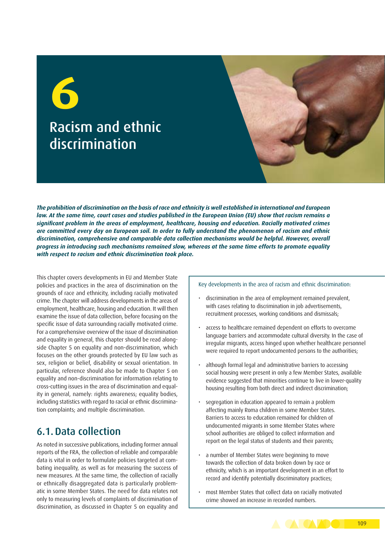# Racism and ethnic discrimination **6**

*The prohibition of discrimination on the basis of race and ethnicity is well established in international and European law. At the same time, court cases and studies published in the European Union (EU) show that racism remains a significant problem in the areas of employment, healthcare, housing and education. Racially motivated crimes are committed every day on European soil. In order to fully understand the phenomenon of racism and ethnic discrimination, comprehensive and comparable data collection mechanisms would be helpful. However, overall progress in introducing such mechanisms remained slow, whereas at the same time efforts to promote equality with respect to racism and ethnic discrimination took place.*

This chapter covers developments in EU and Member State policies and practices in the area of discrimination on the grounds of race and ethnicity, including racially motivated crime. The chapter will address developments in the areas of employment, healthcare, housing and education. It will then examine the issue of data collection, before focusing on the specific issue of data surrounding racially motivated crime. For a comprehensive overview of the issue of discrimination and equality in general, this chapter should be read alongside Chapter 5 on equality and non-discrimination, which focuses on the other grounds protected by EU law such as sex, religion or belief, disability or sexual orientation. In particular, reference should also be made to Chapter 5 on equality and non-discrimination for information relating to cross-cutting issues in the area of discrimination and equality in general, namely: rights awareness: equality bodies, including statistics with regard to racial or ethnic discrimination complaints; and multiple discrimination.

## 6.1.Data collection

As noted in successive publications, including former annual reports of the FRA, the collection of reliable and comparable data is vital in order to formulate policies targeted at combating inequality, as well as for measuring the success of new measures. At the same time, the collection of racially or ethnically disaggregated data is particularly problematic in some Member States. The need for data relates not only to measuring levels of complaints of discrimination of discrimination, as discussed in Chapter 5 on equality and

#### Key developments in the area of racism and ethnic discrimination:

- discrimination in the area of employment remained prevalent, with cases relating to discrimination in job advertisements, recruitment processes, working conditions and dismissals;
- access to healthcare remained dependent on efforts to overcome language barriers and accommodate cultural diversity. In the case of irregular migrants, access hinged upon whether healthcare personnel were required to report undocumented persons to the authorities;
- although formal legal and administrative barriers to accessing social housing were present in only a few Member States, available evidence suggested that minorities continue to live in lower-quality housing resulting from both direct and indirect discrimination;
- segregation in education appeared to remain a problem affecting mainly Roma children in some Member States. Barriers to access to education remained for children of undocumented migrants in some Member States where school authorities are obliged to collect information and report on the legal status of students and their parents;
- a number of Member States were beginning to move towards the collection of data broken down by race or ethnicity, which is an important development in an effort to record and identify potentially discriminatory practices;
- most Member States that collect data on racially motivated crime showed an increase in recorded numbers.

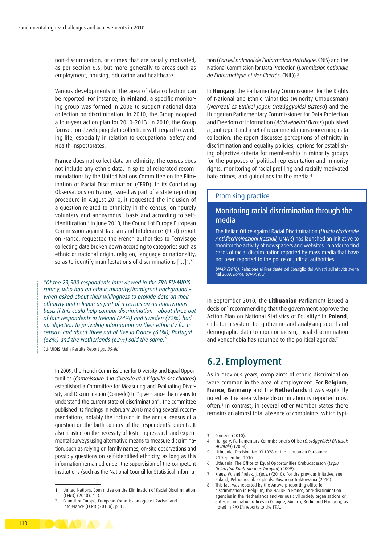non-discrimination, or crimes that are racially motivated, as per section 6.6, but more generally to areas such as employment, housing, education and healthcare.

Various developments in the area of data collection can be reported. For instance, in **Finland**, a specific monitoring group was formed in 2008 to support national data collection on discrimination. In 2010, the Group adopted a four-year action plan for 2010–2013. In 2010, the Group focused on developing data collection with regard to working life, especially in relation to Occupational Safety and Health Inspectorates.

**France** does not collect data on ethnicity. The census does not include any ethnic data, in spite of reiterated recommendations by the United Nations Committee on the Elimination of Racial Discrimination (CERD). In its Concluding Observations on France, issued as part of a state reporting procedure in August 2010, it requested the inclusion of a question related to ethnicity in the census, on "purely voluntary and anonymous" basis and according to selfidentification.1 In June 2010, the Council of Europe European Commission against Racism and Intolerance (ECRI) report on France, requested the French authorities to "envisage collecting data broken down according to categories such as ethnic or national origin, religion, language or nationality, so as to identify manifestations of discriminations […]".2

*"Of the 23,500 respondents interviewed in the FRA EU-MIDIS survey, who had an ethnic minority/immigrant background – when asked about their willingness to provide data on their ethnicity and religion as part of a census on an anonymous basis if this could help combat discrimination – about three out of four respondents in Ireland (74%) and Sweden (72%) had no objection to providing information on their ethnicity for a census, and about three out of five in France (61%), Portugal (62%) and the Netherlands (62%) said the same."*

EU-MIDIS Main Results Report *pp. 85-86*

In 2009, the French Commissioner for Diversity and Equal Opportunities (*Commissaire à la diversité et à l'égalité des chances*) established a Committee for Measuring and Evaluating Diversity and Discrimination (Comedd) to "give France the means to understand the current state of discrimination". The committee published its findings in February 2010 making several recommendations, notably the inclusion in the annual census of a question on the birth country of the respondent's parents. It also insisted on the necessity of fostering research and experimental surveys using alternative means to measure discrimination, such as relying on family names, on-site observations and possibly questions on self-identified ethnicity, as long as this information remained under the supervision of the competent institutions (such as the National Council for Statistical Information (*Conseil national de l'information statistique*, CNIS) and the National Commission for Data Protection (*Commission nationale de l'informatique et des libertés*, CNIL)).3

In **Hungary**, the Parliamentary Commissioner for the Rights of National and Ethnic Minorities (Minority Ombudsman) (*Nemzeti és Etnikai Jogok Országgyűlési Biztosa*) and the Hungarian Parliamentary Commissioner for Data Protection and Freedom of Information (*Adatvédelmi Biztos*) published a joint report and a set of recommendations concerning data collection. The report discusses perceptions of ethnicity in discrimination and equality policies, options for establishing objective criteria for membership in minority groups for the purposes of political representation and minority rights, monitoring of racial profiling and racially motivated hate crimes, and quidelines for the media.<sup>4</sup>

#### Promising practice

#### Monitoring racial discrimination through the media

The Italian Office against Racial Discrimination (*Ufficio Nazionale Antidiscriminazioni Razziali,* UNAR) has launched an initiative to monitor the activity of newspapers and websites, in order to find cases of racial discrimination reported by mass media that have not been reported to the police or judicial authorities.

*UNAR (2010)*, Relazione al Presidente del Consiglio dei Ministri sull'attività svolta nel 2009*, Rome, UNAR, p. 3.*

In September 2010, the **Lithuanian** Parliament issued a decision<sup>5</sup> recommending that the government approve the Action Plan on National Statistics of Equality.6 In **Poland**, calls for a system for gathering and analysing social and demographic data to monitor racism, racial discrimination and xenophobia has returned to the political agenda.<sup>7</sup>

## 6.2. Employment

As in previous years, complaints of ethnic discrimination were common in the area of employment. For **Belgium**, **France**, **Germany** and the **Netherlands** it was explicitly noted as the area where discrimination is reported most often.<sup>8</sup> In contrast, in several other Member States there remains an almost total absence of complaints, which typi-



<sup>1</sup> United Nations, Committee on the Elimination of Racial Discrimination (CERD) (2010), p. 3.

<sup>2</sup> Council of Europe, European Commission against Racism and Intolerance (ECRI) (2010a), p. 45.

<sup>3</sup> Comedd (2010).

<sup>4</sup> Hungary, Parliamentary Commissioner's Office (*Országgyűlési Biztosok Hivatala*) (2009),

<sup>5</sup> Lithuania, Decision No. XI-1028 of the Lithuanian Parliament, 21 September 2010.

<sup>6</sup> Lithuania, The Office of Equal Opportunities Ombudsperson (*Lygiu Galimybiu Kontrolieriaus Tarnyba*) (2009).

<sup>7</sup> Klaus, W. and Frelak, J. (eds.) (2010). For the previous initative, see Poland, Pełnomocnik Rządu ds. Równego Traktowania (2010).

<sup>8</sup> This fact was reported by the Antwerp reporting office for discrimination in Belgium, the HALDE in France, anti-discrimination agencies in the Netherlands and various civil society organisations or anti-discrimination offices in Cologne, Munich, Berlin and Hamburg, as noted in RAXEN reports to the FRA.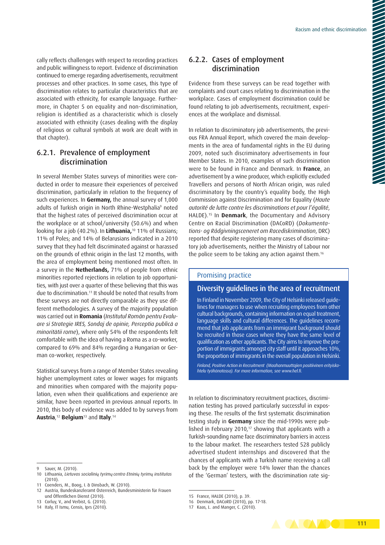cally reflects challenges with respect to recording practices and public willingness to report. Evidence of discrimination continued to emerge regarding advertisements, recruitment processes and other practices. In some cases, this type of discrimination relates to particular characteristics that are associated with ethnicity, for example language. Furthermore, in Chapter 5 on equality and non-discrimination, religion is identified as a characteristic which is closely associated with ethnicity (cases dealing with the display of religious or cultural symbols at work are dealt with in that chapter).

#### 6.2.1. Prevalence of employment discrimination

In several Member States surveys of minorities were conducted in order to measure their experiences of perceived discrimination, particularly in relation to the frequency of such experiences. In **Germany,** the annual survey of 1,000 adults of Turkish origin in North Rhine-Westphalia<sup>9</sup> noted that the highest rates of perceived discrimination occur at the workplace or at school/university (50.6%) and when looking for a job (40.2%). In **Lithuania,**10 11% of Russians; 11% of Poles; and 14% of Belarusians indicated in a 2010 survey that they had felt discriminated against or harassed on the grounds of ethnic origin in the last 12 months, with the area of employment being mentioned most often. In a survey in the **Netherlands,** 71% of people from ethnic minorities reported rejections in relation to job opportunities, with just over a quarter of these believing that this was due to discrimination.<sup>11</sup> It should be noted that results from these surveys are not directly comparable as they use different methodologies. A survey of the majority population was carried out in **Romania** (*Institutul Român pentru Evaluare si Strategie IRES, Sondaj de opinie, Perceptia publică a minoritătii rome*), where only 54% of the respondents felt comfortable with the idea of having a Roma as a co-worker, compared to 69% and 84% regarding a Hungarian or German co-worker, respectively.

Statistical surveys from a range of Member States revealing higher unemployment rates or lower wages for migrants and minorities when compared with the majority population, even when their qualifications and experience are similar, have been reported in previous annual reports. In 2010, this body of evidence was added to by surveys from **Austria**, <sup>12</sup> **Belgium**13 and **Italy**. 14

#### 6.2.2. Cases of employment discrimination

Evidence from these surveys can be read together with complaints and court cases relating to discrimination in the workplace. Cases of employment discrimination could be found relating to job advertisements, recruitment, experiences at the workplace and dismissal.

In relation to discriminatory job advertisements, the previous FRA Annual Report, which covered the main developments in the area of fundamental rights in the EU during 2009, noted such discriminatory advertisements in four Member States. In 2010, examples of such discrimination were to be found in France and Denmark. In **France**, an advertisement by a wine producer, which explicitly excluded Travellers and persons of North African origin, was ruled discriminatory by the country's equality body, the High Commission against Discrimination and for Equality (*Haute autorité de lutte contre les discriminations et pour l'égalité*, HALDE).15 In **Denmark**, the Documentary and Advisory Centre on Racial Discrimination (DACoRD) (*Dokumentations- og Rådgivningsceneret om Racediskrimination*, DRC) reported that despite registering many cases of discriminatory job advertisements, neither the Ministry of Labour nor the police seem to be taking any action against them.16

#### Promising practice

#### Diversity guidelines in the area of recruitment

In Finland in November 2009, the City of Helsinki released guidelines for managers to use when recruiting employees from other cultural backgrounds, containing information on equal treatment, language skills and cultural differences. The guidelines recommend that job applicants from an immigrant background should be recruited in those cases where they have the same level of qualification as other applicants. The City aims to improve the proportion of immigrants amongst city staff until it approaches 10%, the proportion of immigrants in the overall population in Helsinki.

*Finland, Positive Action in Recruitment (Maahanmuuttajien positiivinen erityiskohtelu työhönotossa). For more information, see [www.hel.fi.](www.hel.fi)*

In relation to discriminatory recruitment practices, discrimination testing has proved particularly successful in exposing these. The results of the first systematic discrimination testing study in **Germany** since the mid-1990s were published in February 2010, $17$  showing that applicants with a Turkish-sounding name face discriminatory barriers in access to the labour market. The researchers tested 528 publicly advertised student internships and discovered that the chances of applicants with a Turkish name receiving a call back by the employer were 14% lower than the chances of the 'German' testers, with the discrimination rate sig-

<sup>17</sup> Kaas, L. and Manger, C. (2010).



Sauer, M. (2010).

<sup>10</sup> Lithuania, *Lietuvos socialinių tyrimų centro Etninių tyrimų institutas*  $(2010)$ 

Coenders, M., Boog, I. & Dinsbach, W. (2010).

<sup>12</sup> Austria, Bundeskanzleramt Österreich, Bundesministerin für Frauen und Öffentlichen Dienst (2010).

<sup>13</sup> Corluy, V., and Verbist, G. (2010).

<sup>14</sup> Italy, IT Ismu, Censis, Iprs (2010).

<sup>15</sup> France, HALDE (2010), p. 39.

<sup>16</sup> Denmark, DACoRD (2010), pp. 17-18.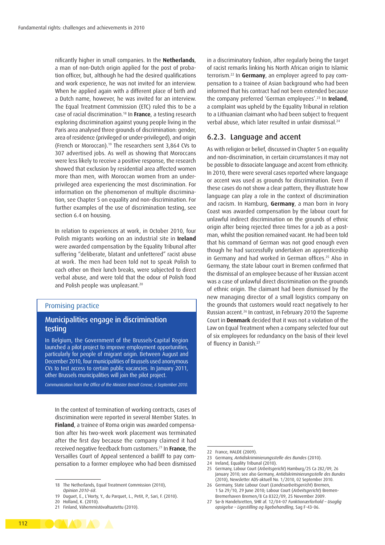nificantly higher in small companies. In the **Netherlands**, a man of non-Dutch origin applied for the post of probation officer, but, although he had the desired qualifications and work experience, he was not invited for an interview. When he applied again with a different place of birth and a Dutch name, however, he was invited for an interview. The Equal Treatment Commission (ETC) ruled this to be a case of racial discrimination.18 In **France**, a testing research exploring discrimination against young people living in the Paris area analysed three grounds of discrimination: gender, area of residence (privileged or under-privileged), and origin (French or Moroccan).19 The researchers sent 3,864 CVs to 307 advertised jobs. As well as showing that Moroccans were less likely to receive a positive response, the research showed that exclusion by residential area affected women more than men, with Moroccan women from an underprivileged area experiencing the most discrimination. For information on the phenomenon of multiple discrimination, see Chapter 5 on equality and non-discrimination. For further examples of the use of discrimination testing, see section 6.4 on housing.

In relation to experiences at work, in October 2010, four Polish migrants working on an industrial site in **Ireland** were awarded compensation by the Equality Tribunal after suffering "deliberate, blatant and unfettered" racist abuse at work. The men had been told not to speak Polish to each other on their lunch breaks, were subjected to direct verbal abuse, and were told that the odour of Polish food and Polish people was unpleasant.<sup>20</sup>

#### Promising practice

#### Municipalities engage in discrimination testing

In Belgium, the Government of the Brussels-Capital Region launched a pilot project to improve employment opportunities, particularly for people of migrant origin. Between August and December 2010, four municipalities of Brussels used anonymous CVs to test access to certain public vacancies. In January 2011, other Brussels municipalities will join the pilot project.

*Communication from the Office of the Minister Benoît Cerexe, 6 September 2010.* 

In the context of termination of working contracts, cases of discrimination were reported in several Member States. In **Finland**, a trainee of Roma origin was awarded compensation after his two-week work placement was terminated after the first day because the company claimed it had received negative feedback from customers.21 In **France**, the Versailles Court of Appeal sentenced a bailiff to pay compensation to a former employee who had been dismissed

20 Holland, K. (2010).

in a discriminatory fashion, after regularly being the target of racist remarks linking his North African origin to Islamic terrorism.22 In **Germany**, an employer agreed to pay compensation to a trainee of Asian background who had been informed that his contract had not been extended because the company preferred 'German employees'.23 In **Ireland**, a complaint was upheld by the Equality Tribunal in relation to a Lithuanian claimant who had been subject to frequent verbal abuse, which later resulted in unfair dismissal.24

#### 6.2.3. Language and accent

As with religion or belief, discussed in Chapter 5 on equality and non-discrimination, in certain circumstances it may not be possible to dissociate language and accent from ethnicity. In 2010, there were several cases reported where language or accent was used as grounds for discrimination. Even if these cases do not show a clear pattern, they illustrate how language can play a role in the context of discrimination and racism. In Hamburg, **Germany**, a man born in Ivory Coast was awarded compensation by the labour court for unlawful indirect discrimination on the grounds of ethnic origin after being rejected three times for a job as a postman, whilst the position remained vacant. He had been told that his command of German was not good enough even though he had successfully undertaken an apprenticeship in Germany and had worked in German offices.25 Also in Germany, the state labour court in Bremen confirmed that the dismissal of an employee because of her Russian accent was a case of unlawful direct discrimination on the grounds of ethnic origin. The claimant had been dismissed by the new managing director of a small logistics company on the grounds that customers would react negatively to her Russian accent.26 In contrast, in February 2010 the Supreme Court in **Denmark** decided that it was not a violation of the Law on Equal Treatment when a company selected four out of six employees for redundancy on the basis of their level of fluency in Danish.<sup>27</sup>

23 Germany, *Antidiskriminierungsstelle des Bundes* (2010).



<sup>18</sup> The Netherlands, Equal Treatment Commission (2010), *Opinion 2010-68*.

<sup>19</sup> Duguet, E., L'Horty, Y., du Parquet, L., Petit, P., Sari, F. (2010).

<sup>21</sup> Finland, Vähemmistövaltuutettu (2010).

<sup>22</sup> France, HALDE (2009).

<sup>24</sup> Ireland, Equality Tribunal (2010).

<sup>25</sup> Germany, Labour Court (*Arbeitsgericht*) Hamburg/25 Ca 282/09, 26 January 2010; see also Germany, *Antidiskriminierungsstelle des Bundes* (2010), Newsletter ADS-aktuell No. 1/2010, 02 September 2010.

<sup>26</sup> Germany, State Labour Court (*Landesarbeitsgericht*) Bremen, 1 Sa 29/10, 29 June 2010; Labour Court (*Arbeitsgericht*) Bremen-Bremerhaven Bremen/8 Ca 8322/09, 25 November 2009.

<sup>27</sup> Sø-& Handelsretten, SHR af. 12/04-07 *Funktionærforhold – Usaglig opsigelse – Ligestilling og ligebehandling*, Sag F-43-06.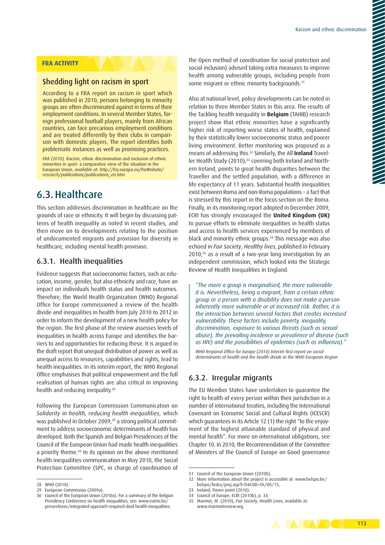#### **FRA ACTIVITY**

#### Shedding light on racism in sport

According to a FRA report on racism in sport which was published in 2010, persons belonging to minority groups are often discriminated against in terms of their employment conditions. In several Member States, foreign professional football players, mainly from African countries, can face precarious employment conditions and are treated differently by their clubs in comparison with domestic players. The report identifies both problematic instances as well as promising practices.

*FRA (2010),* Racism, ethnic discrimination and exclusion of ethnic minorities in sport: a comparative view of the situation in the European Union, *available at: [http://fra.europa.eu/fraWebsite/](http://fra.europa.eu/fraWebsite/research/<00AD>publications/publications_en.htm) [research/publications/publications\\_en.htm.](http://fra.europa.eu/fraWebsite/research/<00AD>publications/publications_en.htm)*

## 6.3.Healthcare

This section addresses discrimination in healthcare on the grounds of race or ethnicity. It will begin by discussing patterns of health inequality as noted in recent studies, and then move on to developments relating to the position of undocumented migrants and provision for diversity in healthcare, including mental health provision.

#### 6.3.1. Health inequalities

Evidence suggests that socioeconomic factors, such as education, income, gender, but also ethnicity and race, have an impact on individuals health status and health outcomes. Therefore, the World Health Organization (WHO) Regional Office for Europe commissioned a review of the health divide and inequalities in health from July 2010 to 2012 in order to inform the development of a new health policy for the region. The first phase of the review assesses levels of inequalities in health across Europe and identifies the barriers to and opportunities for reducing these. It is argued in the draft report that unequal distribution of power as well as unequal access to resources, capabilities and rights, lead to health inequalities. In its interim report, the WHO Regional Office emphasises that political empowerment and the full realisation of human rights are also critical in improving health and reducing inequality.28

Following the European Commission Communication on *Solidarity in health, reducing health inequalities*, which was published in October 2009,<sup>29</sup> a strong political commitment to address socioeconomic determinants of health has developed. Both the Spanish and Belgian Presidencies of the Council of the European Union had made health inequalities a priority theme.<sup>30</sup> In its opinion on the above mentioned health inequalities communication in May 2010, the Social Protection Committee (SPC, in charge of coordination of the Open method of coordination for social protection and social inclusion) advised taking extra measures to improve health among vulnerable groups, including people from some migrant or ethnic minority backgrounds.<sup>31</sup>

Also at national level, policy developments can be noted in relation to three Member States in this area. The results of the Tackling health inequality in **Belgium** (TAHIB) research project show that ethnic minorities have a significantly higher risk of reporting worse states of health, explained by their statistically lower socioeconomic status and poorer living environment. Better monitoring was proposed as a means of addressing this.32 Similarly, the All **Ireland** Traveller Health Study (2010),<sup>33</sup> covering both Ireland and Northern Ireland, points to great health disparities between the Traveller and the settled population, with a difference in life expectancy of 11 years. Substantial health inequalities exist between Roma and non-Roma populations – a fact that is stressed by this report in the focus section on the Roma. Finally, in its monitoring report adopted in December 2009, ECRI has strongly encouraged the **United Kingdom (UK)** to pursue efforts to eliminate inequalities in health status and access to health services experienced by members of black and minority ethnic groups.34 This message was also echoed in *Fair Society*, *Healthy lives*, published in February 2010,35 as a result of a two-year long investigation by an independent commission, which looked into the Strategic Review of Health Inequalities in England.

*"The more a group is marginalised, the more vulnerable it is. Nevertheless, being a migrant, from a certain ethnic group or a person with a disability does not make a person inherently more vulnerable or at increased risk. Rather, it is the interaction between several factors that creates increased vulnerability. These factors include poverty, inequality, discrimination, exposure to various threats (such as sexual abuse), the prevailing incidence or prevalence of disease (such as HIV) and the possibilities of epidemics (such as influenza)."*

*WHO Regional Office for Europe (2010) Interim first report on social determinants of health and the health divide in the WHO European Region*

#### 6.3.2. Irregular migrants

The EU Member States have undertaken to guarantee the right to health of every person within their jurisdiction in a number of international treaties, including the International Covenant on Economic Social and Cultural Rights (ICESCR) which guarantees in its Article 12 (1) the right "to the enjoyment of the highest attainable standard of physical and mental health". For more on international obligations, see Chapter 10. In 2010, the Recommendation of the Committee of Ministers of the Council of Europe on Good governance



<sup>28</sup> WHO (2010).

<sup>29</sup> European Commission (2009a).

<sup>30</sup> Council of the European Union (2010a). For a summary of the Belgian Presidency Conference on health inequalities, see: [www.eutrio.be/](www.eutrio.be/pressrelease/integrated-approach-required-deal-health-inequalities) [pressrelease/integrated-approach-required-deal-health-inequalities.](www.eutrio.be/pressrelease/integrated-approach-required-deal-health-inequalities)

<sup>31</sup> Council of the European Union (2010b).

<sup>32</sup> More information about the project is accessible at: [www.belspo.be/](www.belspo.be/belspo/fedra/proj.asp?l=fr&COD=TA/00/15) [belspo/fedra/proj.asp?l=fr&COD=TA/00/15.](www.belspo.be/belspo/fedra/proj.asp?l=fr&COD=TA/00/15)

<sup>33</sup> Ireland, Pavee point (2010).

<sup>34</sup> Council of Europe, ECRI (2010b), p. 33.

<sup>35</sup> Marmot, M. (2010), *Fair Society, Health Lives*, available at: [www.marmotreview.org.](www.marmotreview.org)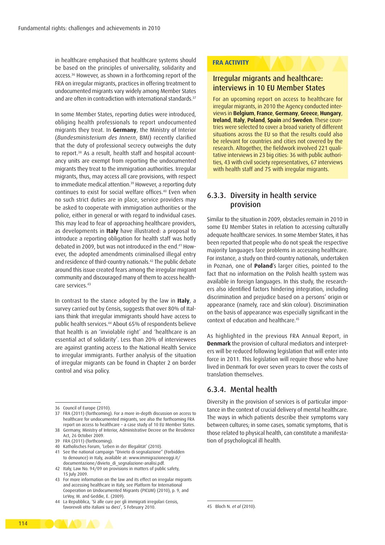in healthcare emphasised that healthcare systems should be based on the principles of universality, solidarity and access.36 However, as shown in a forthcoming report of the FRA on irregular migrants, practices in offering treatment to undocumented migrants vary widely among Member States and are often in contradiction with international standards.<sup>37</sup>

In some Member States, reporting duties were introduced, obliging health professionals to report undocumented migrants they treat. In **Germany**, the Ministry of Interior (*Bundesministerium des Innern*, BMI) recently clarified that the duty of professional secrecy outweighs the duty to report.<sup>38</sup> As a result, health staff and hospital accountancy units are exempt from reporting the undocumented migrants they treat to the immigration authorities. Irregular migrants, thus, may access all care provisions, with respect to immediate medical attention.<sup>39</sup> However, a reporting duty continues to exist for social welfare offices.40 Even when no such strict duties are in place, service providers may be asked to cooperate with immigration authorities or the police, either in general or with regard to individual cases. This may lead to fear of approaching healthcare providers, as developments in **Italy** have illustrated: a proposal to introduce a reporting obligation for health staff was hotly debated in 2009, but was not introduced in the end.41 However, the adopted amendments criminalised illegal entry and residence of third-country nationals.42 The public debate around this issue created fears among the irregular migrant community and discouraged many of them to access healthcare services.43

In contrast to the stance adopted by the law in **Italy**, a survey carried out by Censis, suggests that over 80% of Italians think that irregular immigrants should have access to public health services.44 About 65% of respondents believe that health is an 'inviolable right' and 'healthcare is an essential act of solidarity'. Less than 20% of interviewees are against granting access to the National Health Service to irregular immigrants. Further analysis of the situation of irregular migrants can be found in Chapter 2 on border control and visa policy.

- 
- 40 Katholisches Forum, 'Leben in der Illegalität' (2010). 41 See the national campaign "Divieto di segnalazione" (Forbidden
- to denounce) in Italy, available at: [www.immigrazioneoggi.it/](www.immigrazioneoggi.it/documentazione/divieto_di_segnalazione-analisi.pdf) [documentazione/divieto\\_di\\_segnalazione-analisi.pdf.](www.immigrazioneoggi.it/documentazione/divieto_di_segnalazione-analisi.pdf)
- 42 Italy, Law No. 94/09 on provisions in matters of public safety, 15 July 2009.
- 43 For more information on the law and its effect on irregular migrants and accessing healthcare in Italy, see Platform for International Cooperation on Undocumented Migrants (PICUM) (2010), p. 9, and LeVoy, M. and Geddie, E. (2009).
- 44 La Repubblica, 'Sì alle cure per gli immigrati irregolari Censis, favorevoli otto italiani su dieci', 5 February 2010.

#### **FRA ACTIVITY**

#### Irregular migrants and healthcare: interviews in 10 EU Member States

For an upcoming report on access to healthcare for irregular migrants, in 2010 the Agency conducted interviews in **Belgium**, **France**, **Germany**, **Greece**, **Hungary**, **Ireland**, **Italy**, **Poland**, **Spain** and **Sweden**. These countries were selected to cover a broad variety of different situations across the EU so that the results could also be relevant for countries and cities not covered by the research. Altogether, the fieldwork involved 221 qualitative interviews in 23 big cities: 36 with public authorities, 43 with civil society representatives, 67 interviews with health staff and 75 with irregular migrants.

#### 6.3.3. Diversity in health service provision

Similar to the situation in 2009, obstacles remain in 2010 in some EU Member States in relation to accessing culturally adequate healthcare services. In some Member States, it has been reported that people who do not speak the respective majority languages face problems in accessing healthcare. For instance, a study on third-country nationals, undertaken in Poznań, one of **Poland**'s larger cities, pointed to the fact that no information on the Polish health system was available in foreign languages. In this study, the researchers also identified factors hindering integration, including discrimination and prejudice based on a persons' origin or appearance (namely, race and skin colour). Discrimination on the basis of appearance was especially significant in the context of education and healthcare.45

As highlighted in the previous FRA Annual Report, in **Denmark** the provision of cultural mediators and interpreters will be reduced following legislation that will enter into force in 2011. This legislation will require those who have lived in Denmark for over seven years to cover the costs of translation themselves.

#### 6.3.4. Mental health

Diversity in the provision of services is of particular importance in the context of crucial delivery of mental healthcare. The ways in which patients describe their symptoms vary between cultures; in some cases, somatic symptoms, that is those related to physical health, can constitute a manifestation of psychological ill health.



<sup>36</sup> Council of Europe (2010).

<sup>37</sup> FRA (2011) (forthcoming). For a more in-depth discussion on access to healthcare for undocumented migrants, see also the forthcoming FRA report on access to healthcare – a case study of 10 EU Member States.

<sup>38</sup> Germany, Ministry of Interior, Administrative Decree on the Residence Act, 26 October 2009. 39 FRA (2011) (forthcoming).

<sup>45</sup> Bloch N. *et al* (2010).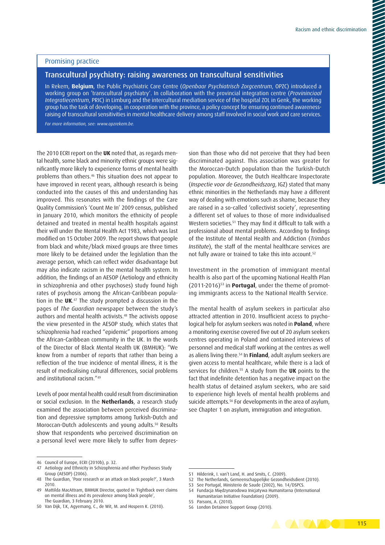#### Promising practice

#### Transcultural psychiatry: raising awareness on transcultural sensitivities

In Rekem, **Belgium**, the Public Psychiatric Care Centre (*Openbaar Psychiatrisch Zorgcentrum*, OPZC) introduced a working group on 'transcultural psychiatry'. In collaboration with the provincial integration centre (*Provininciaal Integratiecentrum*, PRIC) in Limburg and the intercultural mediation service of the hospital ZOL in Genk, the working group has the task of developing, in cooperation with the province, a policy concept for ensuring continued awarenessraising of transcultural sensitivities in mental healthcare delivery among staff involved in social work and care services.

*For more information, see: [www.opzrekem.be.](www.opzrekem.be)*

The 2010 ECRI report on the **UK** noted that, as regards mental health, some black and minority ethnic groups were significantly more likely to experience forms of mental health problems than others.46 This situation does not appear to have improved in recent years, although research is being conducted into the causes of this and understanding has improved. This resonates with the findings of the Care Quality Commission's 'Count Me In' 2009 census, published in January 2010, which monitors the ethnicity of people detained and treated in mental health hospitals against their will under the Mental Health Act 1983, which was last modified on 15 October 2009. The report shows that people from black and white/black mixed groups are three times more likely to be detained under the legislation than the average person, which can reflect wider disadvantage but may also indicate racism in the mental health system. In addition, the findings of an AESOP (Aetiology and ethnicity in schizophrenia and other psychoses) study found high rates of psychosis among the African-Caribbean population in the **UK**. 47 The study prompted a discussion in the pages of *The Guardian* newspaper between the study's authors and mental health activists.48 The activists oppose the view presented in the AESOP study, which states that schizophrenia had reached "epidemic" proportions among the African-Caribbean community in the UK. In the words of the Director of Black Mental Health UK (BMHUK): "We know from a number of reports that rather than being a reflection of the true incidence of mental illness, it is the result of medicalising cultural differences, social problems and institutional racism."49

Levels of poor mental health could result from discrimination or social exclusion. In the **Netherlands**, a research study examined the association between perceived discrimination and depressive symptoms among Turkish-Dutch and Moroccan-Dutch adolescents and young adults.50 Results show that respondents who perceived discrimination on a personal level were more likely to suffer from depression than those who did not perceive that they had been discriminated against. This association was greater for the Moroccan-Dutch population than the Turkish-Dutch population. Moreover, the Dutch Healthcare Inspectorate (*Inspectie voor de Gezondheidszorg*, IGZ) stated that many ethnic minorities in the Netherlands may have a different way of dealing with emotions such as shame, because they are raised in a so-called 'collectivist society', representing a different set of values to those of more individualised Western societies.<sup>51</sup> They may find it difficult to talk with a professional about mental problems. According to findings of the Institute of Mental Health and Addiction (*Trimbos Institute*), the staff of the mental healthcare services are not fully aware or trained to take this into account.<sup>52</sup>

Investment in the promotion of immigrant mental health is also part of the upcoming National Health Plan (2011-2016)53 in **Portugal**, under the theme of promoting immigrants access to the National Health Service.

The mental health of asylum seekers in particular also attracted attention in 2010. Insufficient access to psychological help for asylum seekers was noted in **Poland**, where a monitoring exercise covered five out of 20 asylum seekers centres operating in Poland and contained interviews of personnel and medical staff working at the centres as well as aliens living there.54 In **Finland**, adult asylum seekers are given access to mental healthcare, while there is a lack of services for children.55 A study from the **UK** points to the fact that indefinite detention has a negative impact on the health status of detained asylum seekers, who are said to experience high levels of mental health problems and suicide attempts.<sup>56</sup> For developments in the area of asylum, see Chapter 1 on asylum, immigration and integration.

<sup>56</sup> London Detainee Support Group (2010).



<sup>46</sup> Council of Europe, ECRI (2010b), p. 32.

<sup>47</sup> Aetiology and Ethnicity in Schizophrenia and other Psychoses Study Group (AESOP) (2006).

<sup>48</sup> The Guardian, 'Poor research or an attack on black people?', 3 March 2010.

<sup>49</sup> Mattilda MacAttram, BMHUK Director, quoted in 'Fightback over claims on mental illness and its prevalence among black people', The Guardian, 3 February 2010.

<sup>50</sup> Van Dijk, T.K, Agyemang, C., de Wit, M. and Hospern K. (2010).

<sup>51</sup> Hilderink, I. van't Land, H. and Smits, C. (2009).

<sup>52</sup> The Netherlands, Gemeenschappelijke Gezondheidsdient (2010).

<sup>53</sup> See Portugal, Ministerio de Saude (2002), No. 14/DSPCS.

<sup>54</sup> Fundacja Międzynarodowa Inicjatywa Humanitarna (International Humanitarian Initiative Foundation) (2009).

<sup>55</sup> Parsons, A. (2010).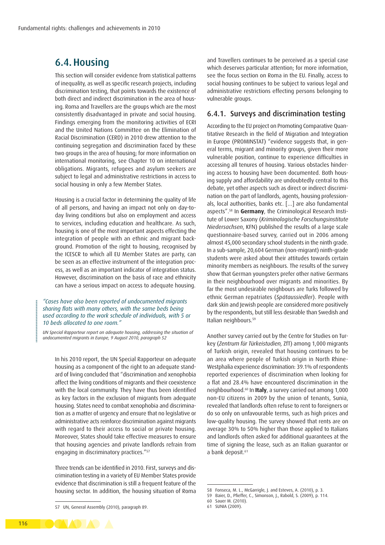## 6.4.Housing

This section will consider evidence from statistical patterns of inequality, as well as specific research projects, including discrimination testing, that points towards the existence of both direct and indirect discrimination in the area of housing. Roma and Travellers are the groups which are the most consistently disadvantaged in private and social housing. Findings emerging from the monitoring activities of ECRI and the United Nations Committee on the Elimination of Racial Discrimination (CERD) in 2010 drew attention to the continuing segregation and discrimination faced by these two groups in the area of housing; for more information on international monitoring, see Chapter 10 on international obligations. Migrants, refugees and asylum seekers are subject to legal and administrative restrictions in access to social housing in only a few Member States.

Housing is a crucial factor in determining the quality of life of all persons, and having an impact not only on day-today living conditions but also on employment and access to services, including education and healthcare. As such, housing is one of the most important aspects effecting the integration of people with an ethnic and migrant background. Promotion of the right to housing, recognised by the ICESCR to which all EU Member States are party, can be seen as an effective instrument of the integration process, as well as an important indicator of integration status. However, discrimination on the basis of race and ethnicity can have a serious impact on access to adequate housing.

#### *"Cases have also been reported of undocumented migrants sharing flats with many others, with the same beds being used according to the work schedule of individuals, with 5 or 10 beds allocated to one room."*

*UN Special Rapporteur report on adequate housing, addressing the situation of undocumented migrants in Europe, 9 August 2010, paragraph 52*

In his 2010 report, the UN Special Rapporteur on adequate housing as a component of the right to an adequate standard of living concluded that "discrimination and xenophobia affect the living conditions of migrants and their coexistence with the local community. They have thus been identified as key factors in the exclusion of migrants from adequate housing. States need to combat xenophobia and discrimination as a matter of urgency and ensure that no legislative or administrative acts reinforce discrimination against migrants with regard to their access to social or private housing. Moreover, States should take effective measures to ensure that housing agencies and private landlords refrain from engaging in discriminatory practices."<sup>57</sup>

Three trends can be identified in 2010. First, surveys and discrimination testing in a variety of EU Member States provide evidence that discrimination is still a frequent feature of the housing sector. In addition, the housing situation of Roma and Travellers continues to be perceived as a special case which deserves particular attention; for more information, see the focus section on Roma in the EU. Finally, access to social housing continues to be subject to various legal and administrative restrictions effecting persons belonging to vulnerable groups.

#### 6.4.1. Surveys and discrimination testing

According to the EU project on Promoting Comparative Quantitative Research in the field of Migration and Integration in Europe (PROMINSTAT) "evidence suggests that, in general terms, migrant and minority groups, given their more vulnerable position, continue to experience difficulties in accessing all tenures of housing. Various obstacles hindering access to housing have been documented. Both housing supply and affordability are undoubtedly central to this debate, yet other aspects such as direct or indirect discrimination on the part of landlords, agents, housing professionals, local authorities, banks etc. […] are also fundamental aspects".58 In **Germany**, the Criminological Research Institute of Lower Saxony (*Kriminologische Forschungsinstitute Niedersachsen*, KFN) published the results of a large scale questionnaire-based survey, carried out in 2006 among almost 45,000 secondary school students in the ninth grade. In a sub-sample, 20,604 German (non-migrant) ninth-grade students were asked about their attitudes towards certain minority members as neighbours. The results of the survey show that German youngsters prefer other native Germans in their neighbourhood over migrants and minorities. By far the most undesirable neighbours are Turks followed by ethnic German repatriates (*Spätaussiedler*). People with dark skin and Jewish people are considered more positively by the respondents, but still less desirable than Swedish and Italian neighbours.59

Another survey carried out by the Centre for Studies on Turkey (*Zentrum für Türkeistudien,* ZfT) among 1,000 migrants of Turkish origin, revealed that housing continues to be an area where people of Turkish origin in North Rhine-Westphalia experience discrimination: 39.1% of respondents reported experiences of discrimination when looking for a flat and 28.4% have encountered discrimination in the neighbourhood.60 In **Italy**, a survey carried out among 1,000 non-EU citizens in 2009 by the union of tenants, Sunia, revealed that landlords often refuse to rent to foreigners or do so only on unfavourable terms, such as high prices and low-quality housing. The survey showed that rents are on average 30% to 50% higher than those applied to Italians and landlords often asked for additional guarantees at the time of signing the lease, such as an Italian guarantor or a bank deposit.<sup>61</sup>



<sup>57</sup> UN, General Assembly (2010), paragraph 89.

<sup>58</sup> Fonseca, M. L., McGarrigle, J. and Esteves, A. (2010), p. 3.

<sup>59</sup> Baier, D., Pfieffer, C., Simonson, J., Rabold, S. (2009), p. 114.

<sup>60</sup> Sauer M. (2010).

<sup>61</sup> SUNIA (2009).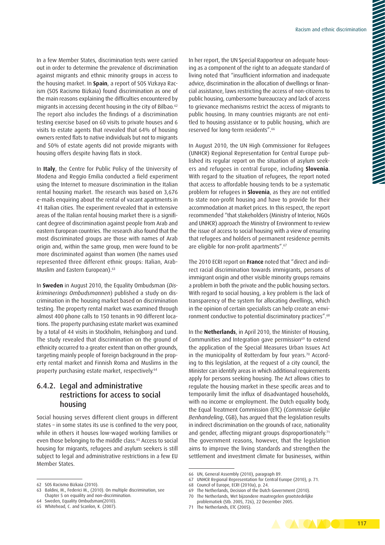In a few Member States, discrimination tests were carried out in order to determine the prevalence of discrimination against migrants and ethnic minority groups in access to the housing market. In **Spain**, a report of SOS Vizkaya Racism (SOS Racismo Bizkaia) found discrimination as one of the main reasons explaining the difficulties encountered by migrants in accessing decent housing in the city of Bilbao.<sup>62</sup> The report also includes the findings of a discrimination testing exercise based on 60 visits to private houses and 6 visits to estate agents that revealed that 64% of housing owners rented flats to native individuals but not to migrants and 50% of estate agents did not provide migrants with housing offers despite having flats in stock.

In **Italy**, the Centre for Public Policy of the University of Modena and Reggio Emilia conducted a field experiment using the Internet to measure discrimination in the Italian rental housing market. The research was based on 3,676 e-mails enquiring about the rental of vacant apartments in 41 Italian cities. The experiment revealed that in extensive areas of the Italian rental housing market there is a significant degree of discrimination against people from Arab and eastern European countries. The research also found that the most discriminated groups are those with names of Arab origin and, within the same group, men were found to be more discriminated against than women (the names used represented three different ethnic groups: Italian, Arab-Muslim and Eastern European).63

In **Sweden** in August 2010, the Equality Ombudsman (*Diskriminerings Ombudsmannen*) published a study on discrimination in the housing market based on discrimination testing. The property rental market was examined through almost 400 phone calls to 150 tenants in 90 different locations. The property purchasing estate market was examined by a total of 44 visits in Stockholm, Helsingborg and Lund. The study revealed that discrimination on the ground of ethnicity occurred to a greater extent than on other grounds, targeting mainly people of foreign background in the property rental market and Finnish Roma and Muslims in the property purchasing estate market, respectively.64

#### 6.4.2. Legal and administrative restrictions for access to social housing

Social housing serves different client groups in different states – in some states its use is confined to the very poor, while in others it houses low-waged working families or even those belonging to the middle class.<sup>65</sup> Access to social housing for migrants, refugees and asylum seekers is still subject to legal and administrative restrictions in a few EU Member States.

In her report, the UN Special Rapporteur on adequate housing as a component of the right to an adequate standard of living noted that "insufficient information and inadequate advice, discrimination in the allocation of dwellings or financial assistance, laws restricting the access of non-citizens to public housing, cumbersome bureaucracy and lack of access to grievance mechanisms restrict the access of migrants to public housing. In many countries migrants are not entitled to housing assistance or to public housing, which are reserved for long-term residents".66

In August 2010, the UN High Commissioner for Refugees (UNHCR) Regional Representation for Central Europe published its regular report on the situation of asylum seekers and refugees in central Europe, including **Slovenia**. With regard to the situation of refugees, the report noted that access to affordable housing tends to be a systematic problem for refugees in **Slovenia**, as they are not entitled to state non-profit housing and have to provide for their accommodation at market prices. In this respect, the report recommended "that stakeholders (Ministry of Interior, NGOs and UNHCR) approach the Ministry of Environment to review the issue of access to social housing with a view of ensuring that refugees and holders of permanent residence permits are eligible for non-profit apartments".67

The 2010 ECRI report on **France** noted that "direct and indirect racial discrimination towards immigrants, persons of immigrant origin and other visible minority groups remains a problem in both the private and the public housing sectors. With regard to social housing, a key problem is the lack of transparency of the system for allocating dwellings, which in the opinion of certain specialists can help create an environment conductive to potential discriminatory practices".68

In the **Netherlands**, in April 2010, the Minister of Housing, Communities and Integration gave permission<sup>69</sup> to extend the application of the Special Measures Urban Issues Act in the municipality of Rotterdam by four years.<sup>70</sup> According to this legislation, at the request of a city council, the Minister can identify areas in which additional requirements apply for persons seeking housing. The Act allows cities to regulate the housing market in these specific areas and to temporarily limit the influx of disadvantaged households, with no income or employment. The Dutch equality body, the Equal Treatment Commission (ETC) (*Commissie Gelijke Benhandeling*, CGB), has argued that the legislation results in indirect discrimination on the grounds of race, nationality and gender, affecting migrant groups disproportionately.<sup>71</sup> The government reasons, however, that the legislation aims to improve the living standards and strengthen the settlement and investment climate for businesses, within

<sup>71</sup> The Netherlands, ETC (2005).



<sup>62</sup> SOS Racismo Bizkaia (2010).

<sup>63</sup> Baldini, M., Federici M., (2010). On multiple discrimination, see Chapter 5 on equality and non-discrimination.

<sup>64</sup> Sweden, Equality Ombudsman(2010).

<sup>65</sup> Whitehead, C. and Scanlon, K. (2007).

<sup>66</sup> UN, General Assembly (2010), paragraph 89.

<sup>67</sup> UNHCR Regional Representation for Central Europe (2010), p. 71.

<sup>68</sup> Council of Europe, ECRI (2010a), p. 24.

<sup>69</sup> The Netherlands, Decision of the Dutch Government (2010).

<sup>70</sup> The Netherlands, Wet bijzondere maatregelen grootstedelijke problematiek (Stb. 2005, 726), 22 December 2005.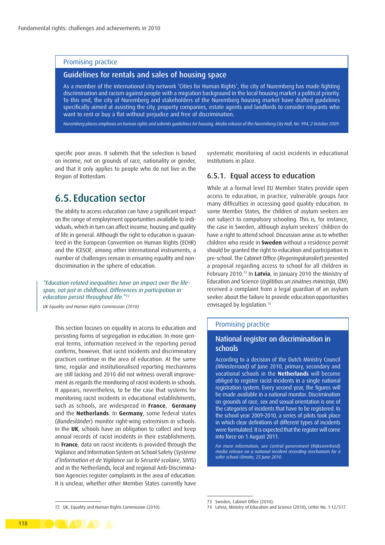#### Promising practice

#### Guidelines for rentals and sales of housing space

As a member of the international city network 'Cities for Human Rights', the city of Nuremberg has made fighting discrimination and racism against people with a migration background in the local housing market a political priority. To this end, the city of Nuremberg and stakeholders of the Nuremberg housing market have drafted guidelines specifically aimed at assisting the city, property companies, estate agents and landlords to consider migrants who want to rent or buy a flat without prejudice and free of discrimination.

*Nuremberg places emphasis on human rights and submits guidelines for housing, Media release of the Nuremberg City Hall, No. 994, 2 October 2009.*

specific poor areas. It submits that the selection is based on income, not on grounds of race, nationality or gender, and that it only applies to people who do not live in the Region of Rotterdam.

## 6.5. Education sector

The ability to access education can have a significant impact on the range of employment opportunities available to individuals, which in turn can affect income, housing and quality of life in general. Although the right to education is guaranteed in the European Convention on Human Rights (ECHR) and the ICESCR, among other international instruments, a number of challenges remain in ensuring equality and nondiscrimination in the sphere of education.

#### *"Education-related inequalities have an impact over the lifespan, not just in childhood. Differences in participation in education persist throughout life."72*

*UK Equality and Human Rights Commission (2010)*

This section focuses on equality in access to education and persisting forms of segregation in education. In more general terms, information received in the reporting period confirms, however, that racist incidents and discriminatory practices continue in the area of education. At the same time, regular and institutionalised reporting mechanisms are still lacking and 2010 did not witness overall improvement as regards the monitoring of racist incidents in schools. It appears, nevertheless, to be the case that systems for monitoring racist incidents in educational establishments, such as schools, are widespread in **France**, **Germany** and the **Netherlands**. In **Germany**, some federal states (*Bundesländer*) monitor right-wing extremism in schools. In the **UK**, schools have an obligation to collect and keep annual records of racist incidents in their establishments. In **France**, data on racist incidents is provided through the Vigilance and Information System on School Safety (*Système d'Information et de Vigilance sur la Sécurité scolaire*, SIVIS) and in the Netherlands, local and regional Anti-Discrimination Agencies register complaints in the area of education. It is unclear, whether other Member States currently have systematic monitoring of racist incidents in educational institutions in place.

#### 6.5.1. Equal access to education

While at a formal level EU Member States provide open access to education, in practice, vulnerable groups face many difficulties in accessing good quality education. In some Member States, the children of asylum seekers are not subject to compulsory schooling. This is, for instance, the case in Sweden, although asylum seekers' children do have a right to attend school. Discussion arose as to whether children who reside in **Sweden** without a residence permit should be granted the right to education and participation in pre-school. The Cabinet Office (*Regeringskansliet*) presented a proposal regarding access to school for all children in February 2010.73 In **Latvia**, in January 2010 the Ministry of Education and Science (*Izglītības un zinātnes ministrija*, IZM) received a complaint from a legal guardian of an asylum seeker about the failure to provide education opportunities envisaged by legislation.<sup>74</sup>

#### Promising practice

#### National register on discrimination in schools

According to a decision of the Dutch Ministry Council *(Ministerraad)* of June 2010, primary, secondary and vocational schools in the **Netherlands** will become obliged to register racist incidents in a single national registration system. Every second year, the figures will be made available in a national monitor. Discrimination on grounds of race, sex and sexual orientation is one of the categories of incidents that have to be registered. In the school year 2009-2010, a series of pilots took place in which clear definitions of different types of incidents were formulated. It is expected that the register will come into force on 1 August 2011.

*For more information, see Central government* (Rijksoverheid) *media release on a national incident recording mechanism for a safer school climate, 25 June 2010.* 

<sup>73</sup> Sweden, Cabinet Office (2010).

<sup>74</sup> Latvia, Ministry of Education and Science (2010), Letter No. 1-12/517.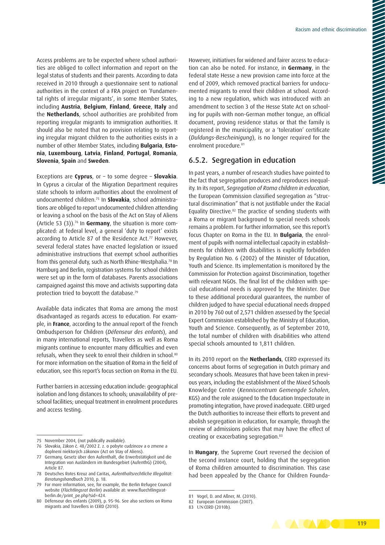Access problems are to be expected where school authorities are obliged to collect information and report on the legal status of students and their parents. According to data received in 2010 through a questionnaire sent to national authorities in the context of a FRA project on 'Fundamental rights of irregular migrants', in some Member States, including **Austria**, **Belgium**, **Finland**, **Greece**, **Italy** and the **Netherlands**, school authorities are prohibited from reporting irregular migrants to immigration authorities. It should also be noted that no provision relating to reporting irregular migrant children to the authorities exists in a number of other Member States, including **Bulgaria**, **Estonia**, **Luxembourg**, **Latvia**, **Finland**, **Portugal**, **Romania**, **Slovenia**, **Spain** and **Sweden**.

Exceptions are **Cyprus**, or – to some degree – **Slovakia**. In Cyprus a circular of the Migration Department requires state schools to inform authorities about the enrolment of undocumented children.75 In **Slovakia**, school administrations are obliged to report undocumented children attending or leaving a school on the basis of the Act on Stay of Aliens (Article 53 (3)).76 In **Germany**, the situation is more complicated: at federal level, a general 'duty to report' exists according to Article 87 of the Residence Act.<sup>77</sup> However, several federal states have enacted legislation or issued administrative instructions that exempt school authorities from this general duty, such as North Rhine-Westphalia.78 In Hamburg and Berlin, registration systems for school children were set up in the form of databases. Parents associations campaigned against this move and activists supporting data protection tried to boycott the database.79

Available data indicates that Roma are among the most disadvantaged as regards access to education. For example, in **France**, according to the annual report of the French Ombudsperson for Children (*Défenseur des enfants*), and in many international reports, Travellers as well as Roma migrants continue to encounter many difficulties and even refusals, when they seek to enrol their children in school.<sup>80</sup> For more information on the situation of Roma in the field of education, see this report's focus section on Roma in the EU.

Further barriers in accessing education include: geographical isolation and long distances to schools; unavailability of preschool facilities; unequal treatment in enrolment procedures and access testing.

However, initiatives for widened and fairer access to education can also be noted. For instance, in **Germany**, in the federal state Hesse a new provision came into force at the end of 2009, which removed practical barriers for undocumented migrants to enrol their children at school. According to a new regulation, which was introduced with an amendment to section 3 of the Hesse State Act on schooling for pupils with non-German mother tongue, an official document, proving residence status or that the family is registered in the municipality, or a 'toleration' certificate (*Duldungs-Bescheinigung*), is no longer required for the enrolment procedure.<sup>81</sup>

#### 6.5.2. Segregation in education

In past years, a number of research studies have pointed to the fact that segregation produces and reproduces inequality. In its report, *Segregation of Roma children in education*, the European Commission classified segregation as "structural discrimination" that is not justifiable under the Racial Equality Directive.82 The practice of sending students with a Roma or migrant background to special needs schools remains a problem. For further information, see this report's focus Chapter on Roma in the EU. In **Bulgaria**, the enrolment of pupils with normal intellectual capacity in establishments for children with disabilities is explicitly forbidden by Regulation No. 6 (2002) of the Minister of Education, Youth and Science. Its implementation is monitored by the Commission for Protection against Discrimination, together with relevant NGOs. The final list of the children with special educational needs is approved by the Minister. Due to these additional procedural guarantees, the number of children judged to have special educational needs dropped in 2010 by 760 out of 2,571 children assessed by the Special Expert Commission established by the Ministry of Education, Youth and Science. Consequently, as of September 2010, the total number of children with disabilities who attend special schools amounted to 1,811 children.

In its 2010 report on the **Netherlands**, CERD expressed its concerns about forms of segregation in Dutch primary and secondary schools. Measures that have been taken in previous years, including the establishment of the Mixed Schools Knowledge Centre (*Kenniscentrum Gemengde Scholen*, KGS) and the role assigned to the Education Inspectorate in promoting integration, have proved inadequate. CERD urged the Dutch authorities to increase their efforts to prevent and abolish segregation in education, for example, through the review of admissions policies that may have the effect of creating or exacerbating segregation.83

In **Hungary**, the Supreme Court reversed the decision of the second instance court, holding that the segregation of Roma children amounted to discrimination. This case had been appealed by the Chance for Children Founda-



<sup>75</sup> November 2004, (not publically available).

<sup>76</sup> Slovakia, Zákon č. 48/2002 Z. z. o pobyte cudzincov a o zmene a doplnení niektorých zákonov (Act on Stay of Aliens).

<sup>77</sup> Germany, Gesetz über den Aufenthalt, die Erwerbstätigkeit und die Integration von Ausländern im Bundesgebiet (AufenthG) (2004), Article 87.

<sup>78</sup> Deutsches Rotes Kreuz and Caritas, *Aufenthaltsrechtliche Illegalität: Beratungshandbuch* 2010, p. 18.

<sup>79</sup> For more information, see, for example, the Berlin Refugee Council website (*Flüchtlingsrat Berlin*) available at: [www.fluechtlingsrat](http://www.fluechtlingsrat-berlin.de/print_pe.php?sid=424)[berlin.de/print\\_pe.php?sid=424](http://www.fluechtlingsrat-berlin.de/print_pe.php?sid=424).

<sup>80</sup> Défenseur des enfants (2009), p. 95-96. See also sections on Roma migrants and Travellers in CERD (2010).

<sup>81</sup> Vogel, D. and Aßner, M. (2010).

<sup>82</sup> European Commission (2007).

<sup>83</sup> UN CERD (2010b).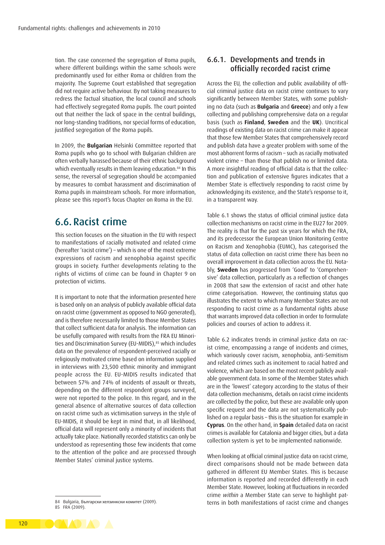tion. The case concerned the segregation of Roma pupils, where different buildings within the same schools were predominantly used for either Roma or children from the majority. The Supreme Court established that segregation did not require active behaviour. By not taking measures to redress the factual situation, the local council and schools had effectively segregated Roma pupils. The court pointed out that neither the lack of space in the central buildings, nor long-standing traditions, nor special forms of education, justified segregation of the Roma pupils.

In 2009, the **Bulgarian** Helsinki Committee reported that Roma pupils who go to school with Bulgarian children are often verbally harassed because of their ethnic background which eventually results in them leaving education.<sup>84</sup> In this sense, the reversal of segregation should be accompanied by measures to combat harassment and discrimination of Roma pupils in mainstream schools. For more information, please see this report's focus Chapter on Roma in the EU.

## 6.6. Racist crime

This section focuses on the situation in the EU with respect to manifestations of racially motivated and related crime (hereafter 'racist crime') – which is one of the most extreme expressions of racism and xenophobia against specific groups in society. Further developments relating to the rights of victims of crime can be found in Chapter 9 on protection of victims.

It is important to note that the information presented here is based only on an analysis of publicly available official data on racist crime (government as opposed to NGO generated), and is therefore necessarily limited to those Member States that collect sufficient data for analysis. The information can be usefully compared with results from the FRA EU Minorities and Discrimination Survey (EU-MIDIS),<sup>85</sup> which includes data on the prevalence of respondent-perceived racially or religiously motivated crime based on information supplied in interviews with 23,500 ethnic minority and immigrant people across the EU. EU-MIDIS results indicated that between 57% and 74% of incidents of assault or threats, depending on the different respondent groups surveyed, were not reported to the police. In this regard, and in the general absence of alternative sources of data collection on racist crime such as victimisation surveys in the style of EU-MIDIS, it should be kept in mind that, in all likelihood, official data will represent only a minority of incidents that actually take place. Nationally recorded statistics can only be understood as representing those few incidents that come to the attention of the police and are processed through Member States' criminal justice systems.

85 FRA (2009).

#### 6.6.1. Developments and trends in officially recorded racist crime

Across the EU, the collection and public availability of official criminal justice data on racist crime continues to vary significantly between Member States, with some publishing no data (such as **Bulgaria** and **Greece**) and only a few collecting and publishing comprehensive data on a regular basis (such as **Finland**, **Sweden** and the **UK**). Uncritical readings of existing data on racist crime can make it appear that those few Member States that comprehensively record and publish data have a greater problem with some of the most abhorrent forms of racism – such as racially motivated violent crime – than those that publish no or limited data. A more insightful reading of official data is that the collection and publication of extensive figures indicates that a Member State is effectively responding to racist crime by acknowledging its existence, and the State's response to it, in a transparent way.

Table 6.1 shows the status of official criminal justice data collection mechanisms on racist crime in the EU27 for 2009. The reality is that for the past six years for which the FRA, and its predecessor the European Union Monitoring Centre on Racism and Xenophobia (EUMC), has categorised the status of data collection on racist crime there has been no overall improvement in data collection across the EU. Notably, **Sweden** has progressed from 'Good' to 'Comprehensive' data collection, particularly as a reflection of changes in 2008 that saw the extension of racist and other hate crime categorisation. However, the continuing status quo illustrates the extent to which many Member States are not responding to racist crime as a fundamental rights abuse that warrants improved data collection in order to formulate policies and courses of action to address it.

Table 6.2 indicates trends in criminal justice data on racist crime, encompassing a range of incidents and crimes, which variously cover racism, xenophobia, anti-Semitism and related crimes such as incitement to racial hatred and violence, which are based on the most recent publicly available government data. In some of the Member States which are in the 'lowest' category according to the status of their data collection mechanisms, details on racist crime incidents are collected by the police, but these are available only upon specific request and the data are not systematically published on a regular basis – this is the situation for example in **Cyprus**. On the other hand, in **Spain** detailed data on racist crimes is available for Catalonia and bigger cities, but a data collection system is yet to be implemented nationwide.

When looking at official criminal justice data on racist crime, direct comparisons should not be made between data gathered in different EU Member States. This is because information is reported and recorded differently in each Member State. However, looking at fluctuations in recorded crime *within* a Member State can serve to highlight patterns in both manifestations of racist crime and changes

<sup>84</sup> Bulgaria, Български хелзинкски комитет (2009).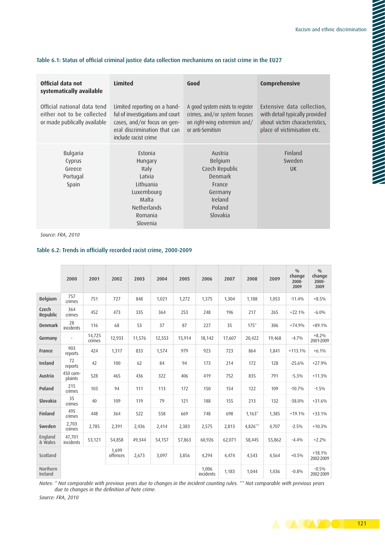| Official data not<br>systematically available                                             | <b>Limited</b>                                                                                                                                         | Good                                                                                                                  | Comprehensive                                                                                                                |
|-------------------------------------------------------------------------------------------|--------------------------------------------------------------------------------------------------------------------------------------------------------|-----------------------------------------------------------------------------------------------------------------------|------------------------------------------------------------------------------------------------------------------------------|
| Official national data tend<br>either not to be collected<br>or made publically available | Limited reporting on a hand-<br>ful of investigations and court<br>cases, and/or focus on gen-<br>eral discrimination that can<br>include racist crime | A good system exists to register<br>crimes, and/or system focuses<br>on right-wing extremism and/<br>or anti-Semitism | Extensive data collection,<br>with detail typically provided<br>about victim characteristics,<br>place of victimisation etc. |
| Bulgaria<br>Cyprus<br>Greece<br>Portugal<br>Spain                                         | Estonia<br>Hungary<br>Italy<br>Latvia<br>Lithuania<br>Luxembourg<br>Malta<br><b>Netherlands</b>                                                        | Austria<br>Belgium<br>Czech Republic<br>Denmark<br>France<br>Germany<br>Ireland<br>Poland                             | Finland<br>Sweden<br><b>UK</b>                                                                                               |
|                                                                                           | Romania<br>Slovenia                                                                                                                                    | Slovakia                                                                                                              |                                                                                                                              |

#### Table 6.1: Status of official criminal justice data collection mechanisms on racist crime in the EU27

*Source: FRA, 2010*

#### Table 6.2: Trends in officially recorded racist crime, 2000-2009

|                     | 2000                | 2001             | 2002              | 2003   | 2004   | 2005   | 2006               | 2007   | 2008     | 2009   | 0/0<br>change<br>2008-<br>2009 | 0/0<br>change<br>$2000 -$<br>2009 |
|---------------------|---------------------|------------------|-------------------|--------|--------|--------|--------------------|--------|----------|--------|--------------------------------|-----------------------------------|
| Belgium             | 757<br>crimes       | 751              | 727               | 848    | 1,021  | 1,272  | 1,375              | 1,304  | 1,188    | 1,053  | $-11.4%$                       | $+8.5%$                           |
| Czech<br>Republic   | 364<br>crimes       | 452              | 473               | 335    | 364    | 253    | 248                | 196    | 217      | 265    | $+22.1%$                       | $-6.0%$                           |
| <b>Denmark</b>      | 28<br>incidents     | 116              | 68                | 53     | 37     | 87     | 227                | 35     | $175*$   | 306    | $+74.9%$                       | $+89.1%$                          |
| Germany             |                     | 14,725<br>crimes | 12,933            | 11,576 | 12,553 | 15,914 | 18,142             | 17,607 | 20,422   | 19,468 | $-4.7%$                        | $+8.2%$<br>2001-2009              |
| France              | 903<br>reports      | 424              | 1,317             | 833    | 1,574  | 979    | 923                | 723    | 864      | 1,841  | $+113.1%$                      | $+6.1%$                           |
| Ireland             | 72<br>reports       | 42               | 100               | 62     | 84     | 94     | 173                | 214    | 172      | 128    | $-25.6%$                       | $+27.9%$                          |
| Austria             | 450 com-<br>plaints | 528              | 465               | 436    | 322    | 406    | 419                | 752    | 835      | 791    | $-5.3%$                        | $+11.3%$                          |
| Poland              | 215<br>crimes       | 103              | 94                | 111    | 113    | 172    | 150                | 154    | 122      | 109    | $-10.7%$                       | $-1.5%$                           |
| Slovakia            | 35<br>crimes        | 40               | 109               | 119    | 79     | 121    | 188                | 155    | 213      | 132    | $-38.0%$                       | $+31.6%$                          |
| Finland             | 495<br>crimes       | 448              | 364               | 522    | 558    | 669    | 748                | 698    | $1,163*$ | 1,385  | $+19.1%$                       | $+33.1%$                          |
| Sweden              | 2.703<br>crimes     | 2,785            | 2,391             | 2,436  | 2,414  | 2,383  | 2,575              | 2,813  | 4,826**  | 4,707  | $-2.5%$                        | $+10.3%$                          |
| England<br>& Wales  | 47,701<br>incidents | 53,121           | 54,858            | 49,344 | 54,157 | 57,863 | 60,926             | 62,071 | 58,445   | 55,862 | $-4.4%$                        | $+2.2%$                           |
| Scotland            |                     |                  | 1.699<br>offences | 2,673  | 3,097  | 3,856  | 4,294              | 4,474  | 4,543    | 4,564  | $+0.5%$                        | $+18.1%$<br>2002-2009             |
| Northern<br>Ireland |                     |                  |                   |        |        |        | 1,006<br>incidents | 1,183  | 1,044    | 1,036  | $-0.8%$                        | $-0.5%$<br>2002-2009              |

*Notes: \* Not comparable with previous years due to changes in the incident counting rules. \*\* Not comparable with previous years due to changes in the definition of hate crime.*

*Source: FRA, 2010*

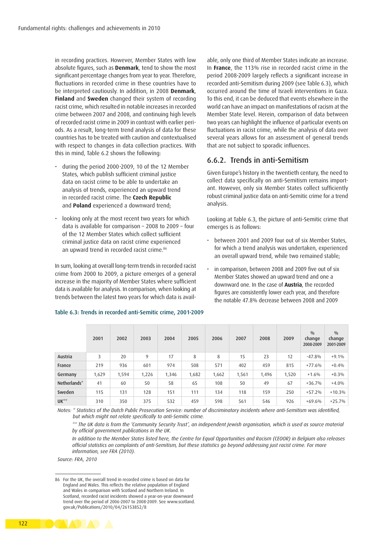in recording practices. However, Member States with low absolute figures, such as **Denmark**, tend to show the most significant percentage changes from year to year. Therefore, fluctuations in recorded crime in these countries have to be interpreted cautiously. In addition, in 2008 **Denmark**, **Finland** and **Sweden** changed their system of recording racist crime, which resulted in notable increases in recorded crime between 2007 and 2008, and continuing high levels of recorded racist crime in 2009 in contrast with earlier periods. As a result, long-term trend analysis of data for these countries has to be treated with caution and contextualised with respect to changes in data collection practices. With this in mind, Table 6.2 shows the following:

- during the period 2000-2009, 10 of the 12 Member States, which publish sufficient criminal justice data on racist crime to be able to undertake an analysis of trends, experienced an upward trend in recorded racist crime. The **Czech Republic** and **Poland** experienced a downward trend;
- looking only at the most recent two years for which data is available for comparison – 2008 to 2009 – four of the 12 Member States which collect sufficient criminal justice data on racist crime experienced an upward trend in recorded racist crime.<sup>86</sup>

In sum, looking at overall long-term trends in recorded racist crime from 2000 to 2009, a picture emerges of a general increase in the majority of Member States where sufficient data is available for analysis. In comparison, when looking at trends between the latest two years for which data is available, only one third of Member States indicate an increase. In **France**, the 113% rise in recorded racist crime in the period 2008-2009 largely reflects a significant increase in recorded anti-Semitism during 2009 (see Table 6.3), which occurred around the time of Israeli interventions in Gaza. To this end, it can be deduced that events elsewhere in the world can have an impact on manifestations of racism at the Member State level. Herein, comparison of data between two years can highlight the influence of particular events on fluctuations in racist crime, while the analysis of data over several years allows for an assessment of general trends that are not subject to sporadic influences.

#### 6.6.2. Trends in anti-Semitism

Given Europe's history in the twentieth century, the need to collect data specifically on anti-Semitism remains important. However, only six Member States collect sufficiently robust criminal justice data on anti-Semitic crime for a trend analysis.

Looking at Table 6.3, the picture of anti-Semitic crime that emerges is as follows:

- between 2001 and 2009 four out of six Member States, for which a trend analysis was undertaken, experienced an overall upward trend, while two remained stable;
- in comparison, between 2008 and 2009 five out of six Member States showed an upward trend and one a downward one. In the case of **Austria**, the recorded figures are consistently lower each year, and therefore the notable 47.8% decrease between 2008 and 2009

|              | 2001  | 2002  | 2003  | 2004  | 2005  | 2006  | 2007  | 2008  | 2009  | 0/0<br>change<br>2008-2009 | 0/0<br>change<br>2001-2009 |
|--------------|-------|-------|-------|-------|-------|-------|-------|-------|-------|----------------------------|----------------------------|
| Austria      | 3     | 20    | 9     | 17    | 8     | 8     | 15    | 23    | 12    | $-47.8%$                   | $+9.1%$                    |
| France       | 219   | 936   | 601   | 974   | 508   | 571   | 402   | 459   | 815   | $+77.6%$                   | $+0.4%$                    |
| Germany      | 1,629 | 1,594 | 1,226 | 1,346 | 1,682 | 1,662 | 1,561 | 1,496 | 1,520 | $+1.6%$                    | $+0.3\%$                   |
| Netherlands* | 41    | 60    | 50    | 58    | 65    | 108   | 50    | 49    | 67    | $+36.7%$                   | $+4.0%$                    |
| Sweden       | 115   | 131   | 128   | 151   | 111   | 134   | 118   | 159   | 250   | $+57.2%$                   | $+10.3%$                   |
| UK**         | 310   | 350   | 375   | 532   | 459   | 598   | 561   | 546   | 926   | $+69.6%$                   | $+25.7%$                   |

#### Table 6.3: Trends in recorded anti-Semitic crime, 2001-2009

*Notes: \* Statistics of the Dutch Public Prosecution Service: number of discriminatory incidents where anti-Semitism was identified, but which might not relate specifically to anti-Semitic crime.*

*\*\* The UK data is from the 'Community Security Trust', an independent Jewish organisation, which is used as source material by official government publications in the UK.*

*In addition to the Member States listed here, the Centre for Equal Opportunities and Racism (CEOOR) in Belgium also releases official statistics on complaints of anti-Semitism, but these statistics go beyond addressing just racist crime. For more information, see FRA (2010).*

*Source: FRA, 2010*

86 For the UK, the overall trend in recorded crime is based on data for England and Wales. This reflects the relative population of England and Wales in comparison with Scotland and Northern Ireland. In Scotland, recorded racist incidents showed a year-on-year downward trend over the period of 2006-2007 to 2008-2009. See [www.scotland.](www.scotland.gov.uk/Publications/2010/04/26153852/8) [gov.uk/Publications/2010/04/26153852/8](www.scotland.gov.uk/Publications/2010/04/26153852/8)

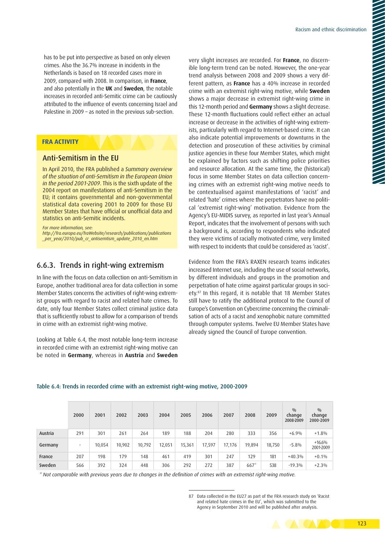has to be put into perspective as based on only eleven crimes. Also the 36.7% increase in incidents in the Netherlands is based on 18 recorded cases more in 2009, compared with 2008. In comparison, in **France**, and also potentially in the **UK** and **Sweden**, the notable increases in recorded anti-Semitic crime can be cautiously attributed to the influence of events concerning Israel and Palestine in 2009 – as noted in the previous sub-section.

#### **FRA ACTIVITY**

#### Anti-Semitism in the EU

In April 2010, the FRA published a *Summary overview of the situation of anti-Semitism in the European Union in the period 2001-2009*. This is the sixth update of the 2004 report on manifestations of anti-Semitism in the EU; it contains governmental and non-governmental statistical data covering 2001 to 2009 for those EU Member States that have official or unofficial data and statistics on anti-Semitic incidents.

*For more information, see:*

*[http://fra.europa.eu/fraWebsite/research/publications/publications](http://fra.europa.eu/fraWebsite/research/publications/publications _per_year/2010/pub_cr_antisemtism_update_2010_en.htm) [\\_per\\_year/2010/pub\\_cr\\_antisemtism\\_update\\_2010\\_en.htm](http://fra.europa.eu/fraWebsite/research/publications/publications _per_year/2010/pub_cr_antisemtism_update_2010_en.htm)*

#### 6.6.3. Trends in right-wing extremism

In line with the focus on data collection on anti-Semitism in Europe, another traditional area for data collection in some Member States concerns the activities of right-wing extremist groups with regard to racist and related hate crimes. To date, only four Member States collect criminal justice data that is sufficiently robust to allow for a comparison of trends in crime with an extremist right-wing motive.

Looking at Table 6.4, the most notable long-term increase in recorded crime with an extremist right-wing motive can be noted in **Germany**, whereas in **Austria** and **Sweden** very slight increases are recorded. For **France**, no discernible long-term trend can be noted. However, the one-year trend analysis between 2008 and 2009 shows a very different pattern, as **France** has a 40% increase in recorded crime with an extremist right-wing motive, while **Sweden** shows a major decrease in extremist right-wing crime in this 12-month period and **Germany** shows a slight decrease. These 12-month fluctuations could reflect either an actual increase or decrease in the activities of right-wing extremists, particularly with regard to Internet-based crime. It can also indicate potential improvements or downturns in the detection and prosecution of these activities by criminal justice agencies in these four Member States, which might be explained by factors such as shifting police priorities and resource allocation. At the same time, the (historical) focus in some Member States on data collection concerning crimes with an extremist right-wing motive needs to be contextualised against manifestations of 'racist' and related 'hate' crimes where the perpetrators have no political 'extremist right-wing' motivation. Evidence from the Agency's EU-MIDIS survey, as reported in last year's Annual Report, indicates that the involvement of persons with such a background is, according to respondents who indicated they were victims of racially motivated crime, very limited with respect to incidents that could be considered as 'racist'.

Evidence from the FRA's RAXEN research teams indicates increased Internet use, including the use of social networks, by different individuals and groups in the promotion and perpetration of hate crime against particular groups in society.87 In this regard, it is notable that 18 Member States still have to ratify the additional protocol to the Council of Europe's Convention on Cybercrime concerning the criminalisation of acts of a racist and xenophobic nature committed through computer systems. Twelve EU Member States have already signed the Council of Europe convention.

#### Table 6.4: Trends in recorded crime with an extremist right-wing motive, 2000-2009

|         | 2000                     | 2001   | 2002   | 2003   | 2004   | 2005   | 2006   | 2007   | 2008   | 2009   | 0/0<br>change<br>2008-2009 | 0/0<br>change<br>2000-2009 |
|---------|--------------------------|--------|--------|--------|--------|--------|--------|--------|--------|--------|----------------------------|----------------------------|
| Austria | 291                      | 301    | 261    | 264    | 189    | 188    | 204    | 280    | 333    | 356    | $+6.9%$                    | $+1.8%$                    |
| Germany | $\overline{\phantom{a}}$ | 10.054 | 10.902 | 10,792 | 12,051 | 15,361 | 17,597 | 17,176 | 19,894 | 18,750 | $-5.8%$                    | $+16.6%$<br>2001-2009      |
| France  | 207                      | 198    | 179    | 148    | 461    | 419    | 301    | 247    | 129    | 181    | $+40.3%$                   | $+0.1%$                    |
| Sweden  | 566                      | 392    | 324    | 448    | 306    | 292    | 272    | 387    | $667*$ | 538    | $-19.3%$                   | $+2.3%$                    |

*\* Not comparable with previous years due to changes in the definition of crimes with an extremist right-wing motive.*

<sup>87</sup> Data collected in the EU27 as part of the FRA research study on 'Racist and related hate crimes in the EU', which was submitted to the Agency in September 2010 and will be published after analysis.

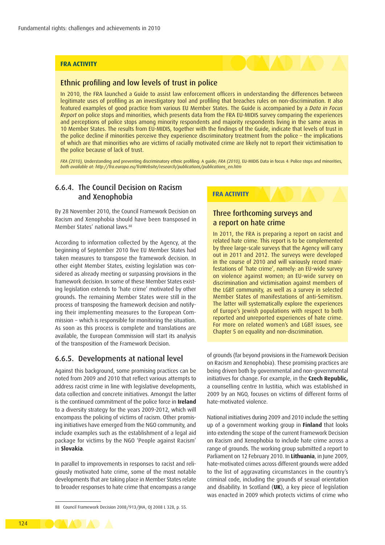#### **FRA ACTIVITY**

#### Ethnic profiling and low levels of trust in police

In 2010, the FRA launched a Guide to assist law enforcement officers in understanding the differences between legitimate uses of profiling as an investigatory tool and profiling that breaches rules on non-discrimination. It also featured examples of good practice from various EU Member States. The Guide is accompanied by a *Data in Focus Report* on police stops and minorities, which presents data from the FRA EU-MIDIS survey comparing the experiences and perceptions of police stops among minority respondents and majority respondents living in the same areas in 10 Member States. The results from EU-MIDIS, together with the findings of the Guide, indicate that levels of trust in the police decline if minorities perceive they experience discriminatory treatment from the police – the implications of which are that minorities who are victims of racially motivated crime are likely not to report their victimisation to the police because of lack of trust.

*FRA (2010),* Understanding and preventing discriminatory ethnic profiling: A guide; *FRA (2010),* EU-MIDIS Data in focus 4: Police stops and minorities, *both available at: [http://fra.europa.eu/fraWebsite/research/publications/publications\\_en.htm](http://fra.europa.eu/fraWebsite/research/publications/publications_en.htm)*

#### 6.6.4. The Council Decision on Racism and Xenophobia

By 28 November 2010, the Council Framework Decision on Racism and Xenophobia should have been transposed in Member States' national laws.<sup>88</sup>

According to information collected by the Agency, at the beginning of September 2010 five EU Member States had taken measures to transpose the framework decision. In other eight Member States, existing legislation was considered as already meeting or surpassing provisions in the framework decision. In some of these Member States existing legislation extends to 'hate crime' motivated by other grounds. The remaining Member States were still in the process of transposing the framework decision and notifying their implementing measures to the European Commission − which is responsible for monitoring the situation. As soon as this process is complete and translations are available, the European Commission will start its analysis of the transposition of the Framework Decision.

#### 6.6.5. Developments at national level

Against this background, some promising practices can be noted from 2009 and 2010 that reflect various attempts to address racist crime in line with legislative developments, data collection and concrete initiatives. Amongst the latter is the continued commitment of the police force in **Ireland** to a diversity strategy for the years 2009-2012, which will encompass the policing of victims of racism. Other promising initiatives have emerged from the NGO community, and include examples such as the establishment of a legal aid package for victims by the NGO 'People against Racism' in **Slovakia**.

In parallel to improvements in responses to racist and religiously motivated hate crime, some of the most notable developments that are taking place in Member States relate to broader responses to hate crime that encompass a range

#### **FRA ACTIVITY**

#### Three forthcoming surveys and a report on hate crime

In 2011, the FRA is preparing a report on racist and related hate crime. This report is to be complemented by three large-scale surveys that the Agency will carry out in 2011 and 2012. The surveys were developed in the course of 2010 and will variously record manifestations of 'hate crime', namely: an EU-wide survey on violence against women; an EU-wide survey on discrimination and victimisation against members of the LGBT community, as well as a survey in selected Member States of manifestations of anti-Semitism. The latter will systematically explore the experiences of Europe's Jewish populations with respect to both reported and unreported experiences of hate crime. For more on related women's and LGBT issues, see Chapter 5 on equality and non-discrimination.

of grounds (far beyond provisions in the Framework Decision on Racism and Xenophobia). These promising practices are being driven both by governmental and non-governmental initiatives for change. For example, in the **Czech Republic,**  a counselling centre In lustitia, which was established in 2009 by an NGO, focuses on victims of different forms of hate-motivated violence.

National initiatives during 2009 and 2010 include the setting up of a government working group in **Finland** that looks into extending the scope of the current Framework Decision on Racism and Xenophobia to include hate crime across a range of grounds. The working group submitted a report to Parliament on 12 February 2010. In **Lithuania**, in June 2009, hate-motivated crimes across different grounds were added to the list of aggravating circumstances in the country's criminal code, including the grounds of sexual orientation and disability. In Scotland (**UK**), a key piece of legislation was enacted in 2009 which protects victims of crime who



<sup>88</sup> Council Framework Decision 2008/913/JHA, OJ 2008 L 328, p. 55.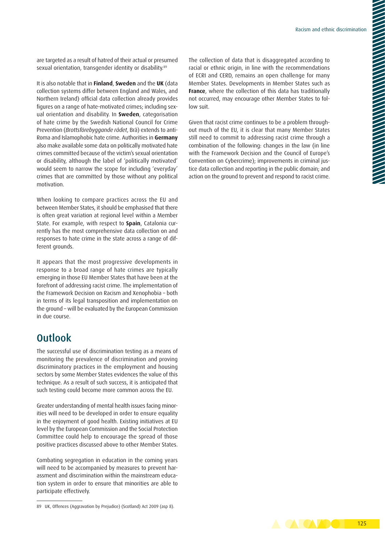are targeted as a result of hatred of their actual or presumed sexual orientation, transgender identity or disability.<sup>89</sup>

It is also notable that in **Finland**, **Sweden** and the **UK** (data collection systems differ between England and Wales, and Northern Ireland) official data collection already provides figures on a range of hate-motivated crimes; including sexual orientation and disability. In **Sweden**, categorisation of hate crime by the Swedish National Council for Crime Prevention (*Brottsförebyggande rådet*, Brå) extends to anti-Roma and Islamophobic hate crime. Authorities in **Germany** also make available some data on politically motivated hate crimes committed because of the victim's sexual orientation or disability, although the label of 'politically motivated' would seem to narrow the scope for including 'everyday' crimes that are committed by those without any political motivation.

When looking to compare practices across the EU and between Member States, it should be emphasised that there is often great variation at regional level within a Member State. For example, with respect to **Spain**, Catalonia currently has the most comprehensive data collection on and responses to hate crime in the state across a range of different grounds.

It appears that the most progressive developments in response to a broad range of hate crimes are typically emerging in those EU Member States that have been at the forefront of addressing racist crime. The implementation of the Framework Decision on Racism and Xenophobia – both in terms of its legal transposition and implementation on the ground – will be evaluated by the European Commission in due course.

## **Outlook**

The successful use of discrimination testing as a means of monitoring the prevalence of discrimination and proving discriminatory practices in the employment and housing sectors by some Member States evidences the value of this technique. As a result of such success, it is anticipated that such testing could become more common across the EU.

Greater understanding of mental health issues facing minorities will need to be developed in order to ensure equality in the enjoyment of good health. Existing initiatives at EU level by the European Commission and the Social Protection Committee could help to encourage the spread of those positive practices discussed above to other Member States.

Combating segregation in education in the coming years will need to be accompanied by measures to prevent harassment and discrimination within the mainstream education system in order to ensure that minorities are able to participate effectively.

The collection of data that is disaggregated according to racial or ethnic origin, in line with the recommendations of ECRI and CERD, remains an open challenge for many Member States. Developments in Member States such as **France**, where the collection of this data has traditionally not occurred, may encourage other Member States to follow suit.

Given that racist crime continues to be a problem throughout much of the EU, it is clear that many Member States still need to commit to addressing racist crime through a combination of the following: changes in the law (in line with the Framework Decision and the Council of Europe's Convention on Cybercrime); improvements in criminal justice data collection and reporting in the public domain; and action on the ground to prevent and respond to racist crime.



<sup>89</sup> UK, Offences (Aggravation by Prejudice) (Scotland) Act 2009 (asp 8).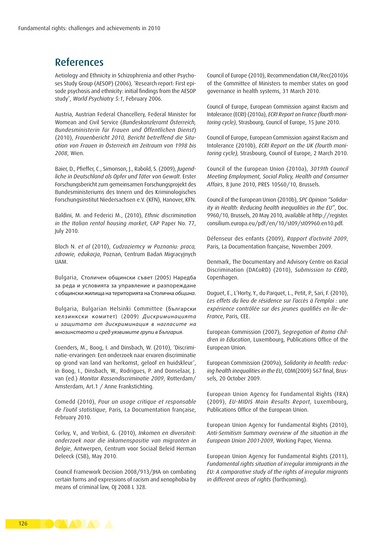## References

Aetiology and Ethnicity in Schizophrenia and other Psychoses Study Group (AESOP) (2006), 'Research report: First episode psychosis and ethnicity: initial findings from the AESOP study', *World Psychiatry 5:1*, February 2006.

Austria, Austrian Federal Chancellery, Federal Minister for Womean and Civil Service (*Bundeskanzleramt Österreich, Bundesministerin für Frauen und Öffentlichen Dienst*) (2010), *Frauenbericht 2010, Bericht betreffend die Situation von Frauen in Österreich im Zeitraum von 1998 bis 2008*, Wien.

Baier, D., Pfieffer, C., Simonson, J., Rabold, S. (2009), *Jugendliche in Deutschland als Opfer und Täter von Gewalt*. Erster Forschungsbericht zum gemeinsamen Forschungsprojekt des Bundesministeriums des Innern und des Kriminologisches Forschungsinstitut Niedersachsen e.V. (KFN), Hanover, KFN.

Baldini, M. and Federici M., (2010), *Ethnic discrimination in the Italian rental housing market*, CAP Paper No. 77, July 2010.

Bloch N. *et al* (2010), *Cudzoziemcy w Poznaniu: praca, zdrowie, edukacja*, Poznań, Centrum Badań Migracyjnych UAM.

Bulgaria, Столичен общински съвет (2005) Наредба за реда и условията за управление и разпореждане с общински жилища на територията на Столична *община*.

Bulgaria, Bulgarian Helsinki Committee (Български хелзинкски комитет) (2009) *Дискриминацията и защитата от дискриминация в нагласите на мнозинството и сред уязвимите групи в България*.

Coenders, M., Boog, I. and Dinsbach, W. (2010), 'Discriminatie-ervaringen: Een onderzoek naar ervaren discriminatie op grond van land van herkomst, geloof en huidskleur', in Boog, I., Dinsbach, W., Rodrigues, P. and Donselaar, J. van (ed.) *Monitor Rassendiscriminatie 2009*, Rotterdam/ Amsterdam, Art.1 / Anne Frankstichting.

Comedd (2010), *Pour un usage critique et responsable de l'outil statistique*, Paris, La Documentation française, February 2010.

Corluy, V., and Verbist, G. (2010), *Inkomen en diversiteit: onderzoek naar die inkomenspositie van migranten in Belgie*, Antwerpen, Centrum voor Sociaal Beleid Herman Deleeck (CSB), May 2010.

Council Framework Decision 2008/913/JHA on combating certain forms and expressions of racism and xenophobia by means of criminal law, OJ 2008 L 328.

Council of Europe (2010), Recommendation CM/Rec(2010)6 of the Committee of Ministers to member states on good governance in health systems, 31 March 2010.

Council of Europe, European Commission against Racism and Intolerance (ECRI) (2010a), *ECRI Report on France (fourth monitoring cycle)*, Strasbourg, Council of Europe, 15 June 2010.

Council of Europe, European Commission against Racism and Intolerance (2010b), *ECRI Report on the UK (fourth monitoring cycle),* Strasbourg, Council of Europe, 2 March 2010.

Council of the European Union (2010a), *3019th Council Meeting Employment, Social Policy, Health and Consumer Affairs*, 8 June 2010, PRES 10560/10, Brussels.

Council of the European Union (2010b), *SPC Opinion "Solidarity in Health: Reducing health inequalities in the EU"*, Doc. 9960/10, Brussels, 20 May 2010, available at [http://register.](http://register.consilium.europa.eu/pdf/en/10/st09/st09960.en10.pdf) [consilium.europa.eu/pdf/en/10/st09/st09960.en10.pdf](http://register.consilium.europa.eu/pdf/en/10/st09/st09960.en10.pdf).

Défenseur des enfants (2009), *Rapport d'activité 2009*, Paris, La Documentation française, November 2009.

Denmark, The Documentary and Advisory Centre on Racial Discrimination (DACoRD) (2010), *Submission to CERD*, Copenhagen.

Duguet, E., L'Horty, Y., du Parquet, L., Petit, P., Sari, F. (2010), *Les effets du lieu de résidence sur l'accès à l'emploi : une expérience contrôlée sur des jeunes qualifiés en Île-de-France*, Paris, CEE.

European Commission (2007), *Segregation of Roma Children in Education*, Luxembourg, Publications Office of the European Union.

European Commission (2009a), *Solidarity in health: reducing health inequalities in the EU*, COM(2009) 567 final, Brussels, 20 October 2009.

European Union Agency for Fundamental Rights (FRA) (2009), *EU-MIDIS Main Results Report*, Luxembourg, Publications Office of the European Union.

European Union Agency for Fundamental Rights (2010), *Anti-Semitism Summary overview of the situation in the European Union 2001-2009*, Working Paper, Vienna.

European Union Agency for Fundamental Rights (2011), *Fundamental rights situation of irregular immigrants in the EU: A comparative study of the rights of irregular migrants in different areas of rights* (forthcoming).

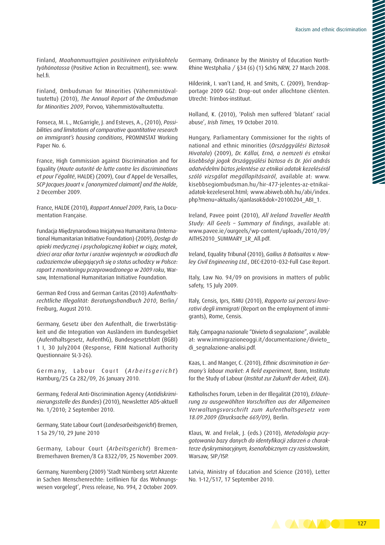Finland, *Maahanmuuttajien positiivinen erityiskohtelu työhönotossa* (Positive Action in Recruitment), see: [www.](www.hel.fi) [hel.fi](www.hel.fi).

Finland, Ombudsman for Minorities (Vähemmistövaltuutettu) (2010), *The Annual Report of the Ombudsman for Minorities 2009*, Porvoo, Vähemmistövaltuutettu.

Fonseca, M. L., McGarrigle, J. and Esteves, A., (2010), *Possibilities and limitations of comparative quantitative research on immigrant's housing conditions*, PROMNISTAT Working Paper No. 6.

France, High Commission against Discrimination and for Equality (*Haute autorité de lutte contre les discriminations et pour l'égalité*, HALDE) (2009), Cour d'Appel de Versailles, *SCP Jacques Jouart v. [anonymized claimant] and the Halde*, 2 December 2009.

France, HALDE (2010), *Rapport Annuel 2009*, Paris, La Documentation Française.

Fundacja Międzynarodowa Inicjatywa Humanitarna (International Humanitarian Initiative Foundation) (2009), *Dostęp do opieki medycznej i psychologicznej kobiet w ciąży, matek, dzieci oraz ofiar tortur i urazów wojennych w ośrodkach dla cudzoziemców ubiegających się o status uchodźcy w Polsce: raport z monitoringu przeprowadzonego w 2009 roku*, Warsaw, International Humanitarian Initiative Foundation.

German Red Cross and German Caritas (2010) *Aufenthaltsrechtliche Illegalität: Beratungshandbuch 2010*, Berlin/ Freiburg, August 2010.

Germany, Gesetz über den Aufenthalt, die Erwerbstätigkeit und die Integration von Ausländern im Bundesgebiet (Aufenthaltsgesetz, AufenthG), Bundesgesetzblatt (BGBI) 1 I, 30 July2004 (Response, FRIM National Authority Questionnaire SL-3-26).

Germany, Labour Court (Arbeitsgericht) Hamburg/25 Ca 282/09, 26 January 2010.

Germany, Federal Anti-Discrimination Agency (*Antidiskriminierungsstelle des Bundes*) (2010), Newsletter ADS-aktuell No. 1/2010; 2 September 2010.

Germany, State Labour Court (*Landesarbeitsgericht*) Bremen, 1 Sa 29/10, 29 June 2010

Germany, Labour Court (*Arbeitsgericht*) Bremen-Bremerhaven Bremen/8 Ca 8322/09, 25 November 2009.

Germany, Nuremberg (2009) 'Stadt Nürnberg setzt Akzente in Sachen Menschenrechte: Leitlinien für das Wohnungswesen vorgelegt', Press release, No. 994, 2 October 2009. Germany, Ordinance by the Ministry of Education North-Rhine Westphalia / §34 (6) (1) SchG NRW, 27 March 2008.

Hilderink, I. van't Land, H. and Smits, C. (2009), Trendrapportage 2009 GGZ: Drop-out onder allochtone cliënten. Utrecht: Trimbos-instituut.

Holland, K. (2010), 'Polish men suffered 'blatant' racial abuse', *Irish Times,* 19 October 2010.

Hungary, Parliamentary Commissioner for the rights of national and ethnic minorities (*Országgyűlési Biztosok Hivatala*) (2009), *Dr. Kállai, Ernő, a nemzeti és etnikai kisebbségi jogok Országgyűlési biztosa és Dr. Jóri andrás adatvédelmi biztos jelentése az etnikai adatok kezeléséről szóló vizsgálat megállapításairól*, available at: [www.](www.kisebbsegiombudsman.hu/hir-477-jelentes-az-etnikai-adatok-kezeleserol.html) [kisebbsegiombudsman.hu/hir-477-jelentes-az-etnikai](www.kisebbsegiombudsman.hu/hir-477-jelentes-az-etnikai-adatok-kezeleserol.html)[adatok-kezeleserol.html;](www.kisebbsegiombudsman.hu/hir-477-jelentes-az-etnikai-adatok-kezeleserol.html) [www.abiweb.obh.hu/abi/index.](www.abiweb.obh.hu/abi/index.php?menu=aktualis/ajanlasok&dok=20100204_ABI_1) [php?menu=aktualis/ajanlasok&dok=20100204\\_ABI\\_1](www.abiweb.obh.hu/abi/index.php?menu=aktualis/ajanlasok&dok=20100204_ABI_1).

Ireland, Pavee point (2010), *All Ireland Traveller Health Study: All Geels – Summary of findings*, available at: [www.pavee.ie/ourgeels/wp-content/uploads/2010/09/](www.pavee.ie/ourgeels/wp-content/uploads/2010/09/AITHS2010_SUMMARY_LR_All.pdf) [AITHS2010\\_SUMMARY\\_LR\\_All.pdf.](www.pavee.ie/ourgeels/wp-content/uploads/2010/09/AITHS2010_SUMMARY_LR_All.pdf)

Ireland, Equality Tribunal (2010), *Gailius & Batisaitas v. Howley Civil Engineering Ltd.*, DEC-E2010-032-Full Case Report.

Italy, Law No. 94/09 on provisions in matters of public safety, 15 July 2009.

Italy, Censis, Iprs, ISMU (2010), *Rapporto sui percorsi lavorativi degli immigrati* (Report on the employment of immigrants), Rome, Censis.

Italy, Campagna nazionale "Divieto di segnalazione", available at: [www.immigrazioneoggi.it/documentazione/divieto\\_](www.immigrazioneoggi.it/documentazione/divieto_ di_segnalazione-analisi.pdf) di segnalazione-analisi.pdf.

Kaas, L. and Manger, C. (2010), *Ethnic discrimination in Germany's labour market: A field experiment*, Bonn, Institute for the Study of Labour (*Institut zur Zukunft der Arbeit, IZA*).

Katholisches Forum' Leben in der Illegalität (2010), *Erläuterung zu ausgewählten Vorschriften aus der Allgemeinen Verwaltungsvorschrift zum Aufenthaltsgesetz vom 18.09.2009 (Drucksache 669/09)*, Berlin.

Klaus, W. and Frelak, J. (eds.) (2010), *Metodologia przygotowania bazy danych do identyfikacji zdarzeń o charakterze dyskryminacyjnym, ksenofobicznym czy rasistowskim*, Warsaw, SIP/ISP.

Latvia, Ministry of Education and Science (2010), Letter No. 1-12/517, 17 September 2010.

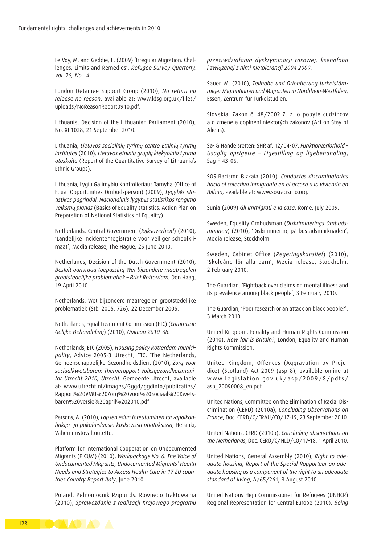Le Voy, M. and Geddie, E. (2009) 'Irregular Migration: Challenges, Limits and Remedies', *Refugee Survey Quarterly, Vol. 28, No. 4.*

London Detainee Support Group (2010), *No return no release no reason*, available at: [www.ldsg.org.uk/files/](www.ldsg.org.uk/files/uploads/NoReasonReport0910.pdf) [uploads/NoReasonReport0910.pdf.](www.ldsg.org.uk/files/uploads/NoReasonReport0910.pdf)

Lithuania, Decision of the Lithuanian Parliament (2010), No. XI-1028, 21 September 2010.

Lithuania, *Lietuvos socialinių tyrimų centro Etninių tyrimų institutas* (2010)*, Lietuvos etninių grupių kiekybinio tyrimo ataskaita* (Report of the Quantitative Survey of Lithuania's Ethnic Groups).

Lithuania, Lygiu Galimybiu Kontrolieriaus Tarnyba (Office of Equal Opportunities Ombudsperson) (2009), *Lygybės statistikos pagrindai. Nacionalinis lygybės statistikos rengimo veiksmų planas* (Basics of Equality statistics. Action Plan on Preparation of National Statistics of Equality).

Netherlands, Central Government (*Rijksoverheid*) (2010), 'Landelijke incidentenregistratie voor veiliger schoolklimaat', Media release, The Hague, 25 June 2010.

Netherlands, Decision of the Dutch Government (2010), *Besluit aanvraag toepassing Wet bijzondere maatregelen grootstedelijke problematiek – Brief Rotterdam*, Den Haag, 19 April 2010.

Netherlands, Wet bijzondere maatregelen grootstedelijke problematiek (Stb. 2005, 726), 22 December 2005.

Netherlands, Equal Treatment Commission (ETC) (*Commissie Gelijke Behandeling*) (2010), *Opinion 2010-68.*

Netherlands, ETC (2005), *Housing policy Rotterdam municipality*, Advice 2005-3 Utrecht, ETC. 'The Netherlands, Gemeenschappelijke Gezondheidsdient (2010), *Zorg voor sociaalkwetsbaren: Themarapport Volksgezondheismonitor Utrecht 2010, Utrecht*: Gemeente Utrecht, available at: [www.utrecht.nl/images/Gggd/ggdinfo/publicaties/](www.utrecht.nl/images/Gggd/ggdinfo/publicaties/Rapport%20VMU%20Zorg%20voor%20Sociaal%20Kwetsbaren%20versie%20april%202010.pdf) [Rapport%20VMU%20Zorg%20voor%20Sociaal%20Kwets](www.utrecht.nl/images/Gggd/ggdinfo/publicaties/Rapport%20VMU%20Zorg%20voor%20Sociaal%20Kwetsbaren%20versie%20april%202010.pdf)[baren%20versie%20april%202010.pdf](www.utrecht.nl/images/Gggd/ggdinfo/publicaties/Rapport%20VMU%20Zorg%20voor%20Sociaal%20Kwetsbaren%20versie%20april%202010.pdf)

Parsons, A. (2010), *Lapsen edun toteutuminen turvapaikanhakija- ja pakolaislapsia koskevissa päätöksissä*, Helsinki, Vähemmistövaltuutettu.

Platform for International Cooperation on Undocumented Migrants (PICUM) (2010), *Workpackage No. 6: The Voice of Undocumented Migrants, Undocumented Migrants' Health Needs and Strategies to Access Health Care in 17 EU countries Country Report Italy*, June 2010.

Poland, Pełnomocnik Rządu ds. Równego Traktowania (2010), *Sprawozdanie z realizacji Krajowego programu* 

*przeciwdziałania dyskryminacji rasowej, ksenofobii i związanej z nimi nietolerancji 2004-2009*.

Sauer, M. (2010), *Teilhabe und Orientierung türkeistämmiger Migrantinnen und Migranten in Nordrhein-Westfalen*, Essen, Zentrum für Türkeistudien.

Slovakia, Zákon č. 48/2002 Z. z. o pobyte cudzincov a o zmene a doplnení niektorých zákonov (Act on Stay of Aliens).

Sø- & Handelsretten: SHR af. 12/04-07, *Funktionærforhold – Usaglig opsigelse – Ligestilling og ligebehandling*, Sag F-43-06.

SOS Racismo Bizkaia (2010), *Conductas discriminatorias hacia el colectivo inmigrante en el acceso a la vivienda en Bilbao*, available at: [www.sosracismo.org.](www.sosracismo.org)

Sunia (2009) *Gli immigrati e la casa*, Rome, July 2009.

Sweden, Equality Ombudsman (*Diskriminerings Ombudsmannen*) (2010), 'Diskriminering på bostadsmarknaden', Media release, Stockholm.

Sweden, Cabinet Office (*Regeringskansliet*) (2010), 'Skolgång för alla barn', Media release, Stockholm, 2 February 2010.

The Guardian, 'Fightback over claims on mental illness and its prevalence among black people', 3 February 2010.

The Guardian, 'Poor research or an attack on black people?', 3 March 2010.

United Kingdom, Equality and Human Rights Commission (2010), *How fair is Britain?*, London, Equality and Human Rights Commission.

United Kingdom, Offences (Aggravation by Prejudice) (Scotland) Act 2009 (asp 8), available online at www.legislation.gov.uk/asp/2009/8/pdfs/ [asp\\_20090008\\_en.pdf](www.legislation.gov.uk/asp/2009/8/pdfs/asp_20090008_en.pdf)

United Nations, Committee on the Elimination of Racial Discrimination (CERD) (2010a), *Concluding Observations on France*, Doc. CERD/C/FRAU/CO/17-19, 23 September 2010.

United Nations, CERD (2010b), *Concluding observations on the Netherlands*, Doc. CERD/C/NLD/CO/17-18, 1 April 2010.

United Nations, General Assembly (2010), *Right to adequate housing, Report of the Special Rapporteur on adequate housing as a component of the right to an adequate standard of living*, A/65/261, 9 August 2010.

United Nations High Commissioner for Refugees (UNHCR) Regional Representation for Central Europe (2010), *Being*